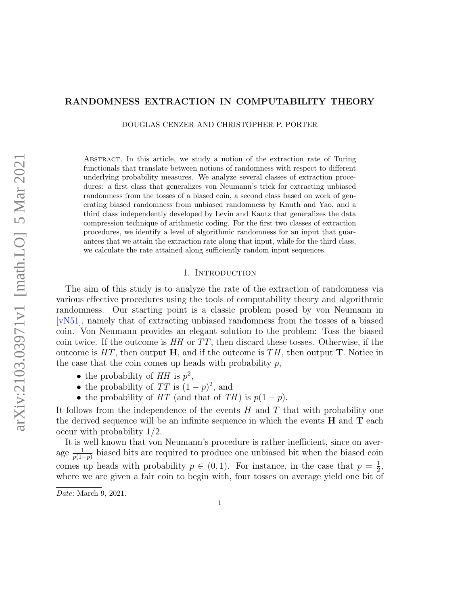# <span id="page-0-0"></span>RANDOMNESS EXTRACTION IN COMPUTABILITY THEORY

DOUGLAS CENZER AND CHRISTOPHER P. PORTER

Abstract. In this article, we study a notion of the extraction rate of Turing functionals that translate between notions of randomness with respect to different underlying probability measures. We analyze several classes of extraction procedures: a first class that generalizes von Neumann's trick for extracting unbiased randomness from the tosses of a biased coin, a second class based on work of generating biased randomness from unbiased randomness by Knuth and Yao, and a third class independently developed by Levin and Kautz that generalizes the data compression technique of arithmetic coding. For the first two classes of extraction procedures, we identify a level of algorithmic randomness for an input that guarantees that we attain the extraction rate along that input, while for the third class, we calculate the rate attained along sufficiently random input sequences.

# 1. INTRODUCTION

The aim of this study is to analyze the rate of the extraction of randomness via various effective procedures using the tools of computability theory and algorithmic randomness. Our starting point is a classic problem posed by von Neumann in [\[vN51\]](#page-25-0), namely that of extracting unbiased randomness from the tosses of a biased coin. Von Neumann provides an elegant solution to the problem: Toss the biased coin twice. If the outcome is  $HH$  or  $TT$ , then discard these tosses. Otherwise, if the outcome is  $HT$ , then output H, and if the outcome is  $TH$ , then output T. Notice in the case that the coin comes up heads with probability  $p$ ,

- the probability of  $HH$  is  $p^2$ ,
- the probability of  $TT$  is  $(1-p)^2$ , and
- the probability of HT (and that of TH) is  $p(1-p)$ .

It follows from the independence of the events  $H$  and  $T$  that with probability one the derived sequence will be an infinite sequence in which the events  $H$  and  $T$  each occur with probability 1/2.

It is well known that von Neumann's procedure is rather inefficient, since on average  $\frac{1}{p(1-p)}$  biased bits are required to produce one unbiased bit when the biased coin comes up heads with probability  $p \in (0,1)$ . For instance, in the case that  $p = \frac{1}{2}$  $\frac{1}{2}$ , where we are given a fair coin to begin with, four tosses on average yield one bit of

Date: March 9, 2021.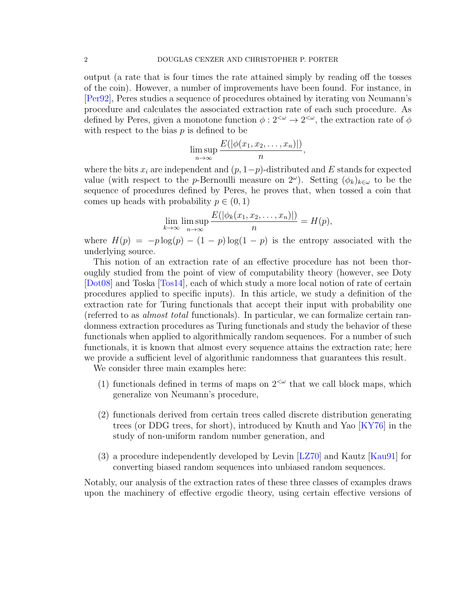<span id="page-1-0"></span>output (a rate that is four times the rate attained simply by reading off the tosses of the coin). However, a number of improvements have been found. For instance, in [\[Per92\]](#page-25-1), Peres studies a sequence of procedures obtained by iterating von Neumann's procedure and calculates the associated extraction rate of each such procedure. As defined by Peres, given a monotone function  $\phi: 2^{<\omega} \to 2^{<\omega}$ , the extraction rate of  $\phi$ with respect to the bias  $p$  is defined to be

$$
\limsup_{n\to\infty}\frac{E(|\phi(x_1,x_2,\ldots,x_n)|)}{n},
$$

where the bits  $x_i$  are independent and  $(p, 1-p)$ -distributed and E stands for expected value (with respect to the *p*-Bernoulli measure on  $2^{\omega}$ ). Setting  $(\phi_k)_{k \in \omega}$  to be the sequence of procedures defined by Peres, he proves that, when tossed a coin that comes up heads with probability  $p \in (0, 1)$ 

$$
\lim_{k \to \infty} \limsup_{n \to \infty} \frac{E(|\phi_k(x_1, x_2, \dots, x_n)|)}{n} = H(p),
$$

where  $H(p) = -p \log(p) - (1 - p) \log(1 - p)$  is the entropy associated with the underlying source.

This notion of an extraction rate of an effective procedure has not been thoroughly studied from the point of view of computability theory (however, see Doty [\[Dot08\]](#page-24-0) and Toska [\[Tos14\]](#page-25-2), each of which study a more local notion of rate of certain procedures applied to specific inputs). In this article, we study a definition of the extraction rate for Turing functionals that accept their input with probability one (referred to as almost total functionals). In particular, we can formalize certain randomness extraction procedures as Turing functionals and study the behavior of these functionals when applied to algorithmically random sequences. For a number of such functionals, it is known that almost every sequence attains the extraction rate; here we provide a sufficient level of algorithmic randomness that guarantees this result.

We consider three main examples here:

- (1) functionals defined in terms of maps on  $2^{<\omega}$  that we call block maps, which generalize von Neumann's procedure,
- (2) functionals derived from certain trees called discrete distribution generating trees (or DDG trees, for short), introduced by Knuth and Yao [\[KY76\]](#page-24-1) in the study of non-uniform random number generation, and
- (3) a procedure independently developed by Levin [\[LZ70\]](#page-24-2) and Kautz [\[Kau91\]](#page-24-3) for converting biased random sequences into unbiased random sequences.

Notably, our analysis of the extraction rates of these three classes of examples draws upon the machinery of effective ergodic theory, using certain effective versions of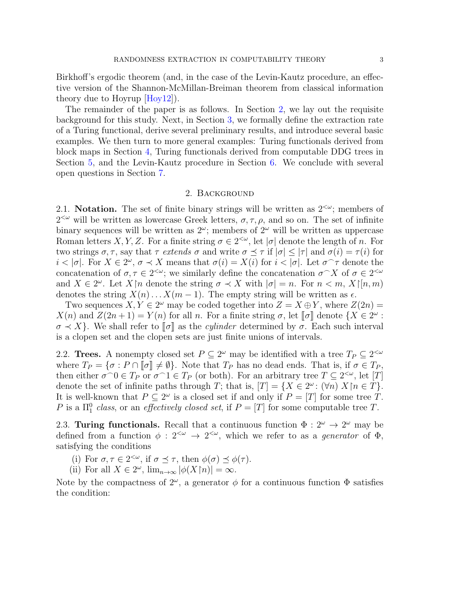<span id="page-2-1"></span>Birkhoff's ergodic theorem (and, in the case of the Levin-Kautz procedure, an effective version of the Shannon-McMillan-Breiman theorem from classical information theory due to Hoyrup  $|H_0y_12|$ .

The remainder of the paper is as follows. In Section [2,](#page-2-0) we lay out the requisite background for this study. Next, in Section [3,](#page-4-0) we formally define the extraction rate of a Turing functional, derive several preliminary results, and introduce several basic examples. We then turn to more general examples: Turing functionals derived from block maps in Section [4,](#page-9-0) Turing functionals derived from computable DDG trees in Section [5,](#page-13-0) and the Levin-Kautz procedure in Section [6.](#page-19-0) We conclude with several open questions in Section [7.](#page-23-0)

## 2. Background

<span id="page-2-0"></span>2.1. Notation. The set of finite binary strings will be written as  $2^{<\omega}$ ; members of  $2<sup>{\omega}</sup>$  will be written as lowercase Greek letters,  $\sigma, \tau, \rho$ , and so on. The set of infinite binary sequences will be written as  $2^{\omega}$ ; members of  $2^{\omega}$  will be written as uppercase Roman letters X, Y, Z. For a finite string  $\sigma \in 2^{<\omega}$ , let  $|\sigma|$  denote the length of n. For two strings  $\sigma, \tau$ , say that  $\tau$  extends  $\sigma$  and write  $\sigma \preceq \tau$  if  $|\sigma| \leq |\tau|$  and  $\sigma(i) = \tau(i)$  for  $i < |\sigma|$ . For  $X \in 2^{\omega}$ ,  $\sigma \prec X$  means that  $\sigma(i) = X(i)$  for  $i < |\sigma|$ . Let  $\sigma \sim \tau$  denote the concatenation of  $\sigma, \tau \in 2^{<\omega}$ ; we similarly define the concatenation  $\sigma \sim X$  of  $\sigma \in 2^{<\omega}$ and  $X \in 2^{\omega}$ . Let  $X \upharpoonright n$  denote the string  $\sigma \prec X$  with  $|\sigma| = n$ . For  $n \prec m$ ,  $X \upharpoonright n, m$ denotes the string  $X(n) \dots X(m-1)$ . The empty string will be written as  $\epsilon$ .

Two sequences  $X, Y \in 2^{\omega}$  may be coded together into  $Z = X \oplus Y$ , where  $Z(2n) =$  $X(n)$  and  $Z(2n+1) = Y(n)$  for all n. For a finite string  $\sigma$ , let  $\llbracket \sigma \rrbracket$  denote  $\{X \in 2^{\omega} : \sigma \to X\}$ . We shall refer to  $\llbracket \sigma \rrbracket$  as the *culinder* determined by  $\sigma$ . Each such interval  $\sigma \prec X$ . We shall refer to  $\sigma$  as the *cylinder* determined by  $\sigma$ . Each such interval is a clopen set and the clopen sets are just finite unions of intervals.

2.2. **Trees.** A nonempty closed set  $P \subseteq 2^{\omega}$  may be identified with a tree  $T_P \subseteq 2^{<\omega}$ where  $T_P = \{\sigma : P \cap \llbracket \sigma \rrbracket \neq \emptyset\}$ . Note that  $T_P$  has no dead ends. That is, if  $\sigma \in T_P$ , then either  $\sigma \cap 0 \in T_P$  or  $\sigma \cap 1 \in T_P$  (or both). For an arbitrary tree  $T \subseteq 2^{<\omega}$ , let [T] denote the set of infinite paths through T; that is,  $[T] = \{X \in 2^{\omega} : (\forall n) X \mid n \in T\}.$ It is well-known that  $P \subseteq 2^{\omega}$  is a closed set if and only if  $P = [T]$  for some tree T. P is a  $\Pi_1^0$  class, or an *effectively closed set*, if  $P = [T]$  for some computable tree T.

2.3. Turing functionals. Recall that a continuous function  $\Phi: 2^{\omega} \to 2^{\omega}$  may be defined from a function  $\phi: 2^{<\omega} \to 2^{<\omega}$ , which we refer to as a *generator* of  $\Phi$ , satisfying the conditions

- (i) For  $\sigma, \tau \in 2^{<\omega}$ , if  $\sigma \preceq \tau$ , then  $\phi(\sigma) \preceq \phi(\tau)$ .
- (ii) For all  $X \in 2^{\omega}$ ,  $\lim_{n \to \infty} |\phi(X[n)]| = \infty$ .

Note by the compactness of  $2^{\omega}$ , a generator  $\phi$  for a continuous function  $\Phi$  satisfies the condition: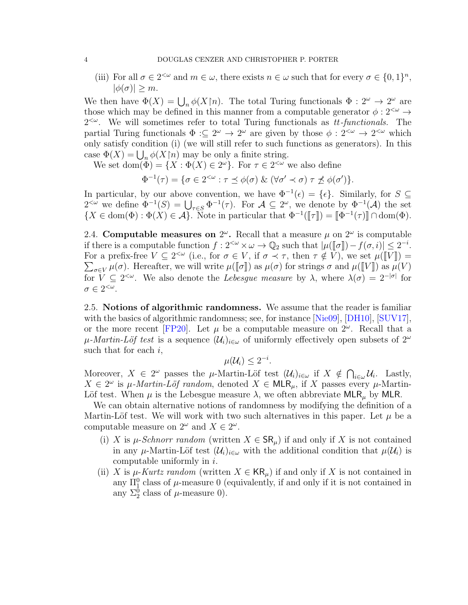<span id="page-3-0"></span>(iii) For all  $\sigma \in 2^{<\omega}$  and  $m \in \omega$ , there exists  $n \in \omega$  such that for every  $\sigma \in \{0,1\}^n$ ,  $|\phi(\sigma)| \geq m$ .

We then have  $\Phi(X) = \bigcup_n \phi(X \cap n)$ . The total Turing functionals  $\Phi : 2^{\omega} \to 2^{\omega}$  are those which may be defined in this manner from a computable generator  $\phi: 2^{<\omega} \to$  $2<sup>{\sim}</sup>$ . We will sometimes refer to total Turing functionals as tt-functionals. The partial Turing functionals  $\Phi : \subseteq 2^{\omega} \to 2^{\omega}$  are given by those  $\phi : 2^{<\omega} \to 2^{<\omega}$  which only satisfy condition (i) (we will still refer to such functions as generators). In this case  $\Phi(X) = \bigcup_n \phi(X \mid n)$  may be only a finite string.

We set dom $(\Phi) = \{X : \Phi(X) \in 2^{\omega}\}\$ . For  $\tau \in 2^{<\omega}$  we also define

$$
\Phi^{-1}(\tau) = \{ \sigma \in 2^{<\omega} : \tau \preceq \phi(\sigma) \& (\forall \sigma' \prec \sigma) \; \tau \not\preceq \phi(\sigma') \}.
$$

In particular, by our above convention, we have  $\Phi^{-1}(\epsilon) = {\epsilon}.$  Similarly, for  $S \subseteq$  $2^{<\omega}$  we define  $\Phi^{-1}(S) = \bigcup_{\tau \in S} \Phi^{-1}(\tau)$ . For  $\mathcal{A} \subseteq 2^{\omega}$ , we denote by  $\Phi^{-1}(\mathcal{A})$  the set  $\{X \in \text{dom}(\Phi) : \Phi(X) \in \mathcal{A}\}\.$  Note in particular that  $\Phi^{-1}(\llbracket \tau \rrbracket) = \llbracket \Phi^{-1}(\tau) \rrbracket \cap \text{dom}(\Phi).$ 

2.4. Computable measures on  $2^{\omega}$ . Recall that a measure  $\mu$  on  $2^{\omega}$  is computable if there is a computable function  $f : 2^{<\omega} \times \omega \to \mathbb{Q}_2$  such that  $|\mu([\sigma]) - f(\sigma, i)| \leq 2^{-i}$ .<br>For a profix from  $V \subset 2^{<\omega}$  (i.e., for  $\sigma \in V$  if  $\sigma \neq \tau$ , then  $\tau \notin V$ ) we set  $\mu([\mathbf{U}]) =$ For a prefix-free  $V \subseteq 2^{<\omega}$  (i.e., for  $\sigma \in V$ , if  $\sigma \prec \tau$ , then  $\tau \notin V$ ), we set  $\mu(\llbracket V \rrbracket) =$ <br> $\sum_{\mu(\sigma)} \mu(\sigma)$ . Here after we will write  $\mu(\llbracket \sigma \rrbracket)$  as  $\mu(\sigma)$  for strings  $\sigma$  and  $\mu(\llbracket V \rrbracket)$  as  $\mu(V)$ .  $\sum_{\sigma \in V} \mu(\sigma)$ . Hereafter, we will write  $\mu([\![\sigma]\!])$  as  $\mu(\sigma)$  for strings  $\sigma$  and  $\mu([\![V]\!])$  as  $\mu(V)$ <br>for  $V \subset 3 \le \omega$ . We also denote the Lebesgue masseum by ), where  $\lambda(\sigma) = 3^{-|\sigma|}$  for for  $V \subseteq 2^{\lt \omega}$ . We also denote the *Lebesgue measure* by  $\lambda$ , where  $\lambda(\sigma) = 2^{-|\sigma|}$  for  $\sigma \in 2^{<\omega}$ .

2.5. Notions of algorithmic randomness. We assume that the reader is familiar with the basics of algorithmic randomness; see, for instance [\[Nie09\]](#page-25-3), [\[DH10\]](#page-24-5), [\[SUV17\]](#page-25-4), or the more recent [\[FP20\]](#page-24-6). Let  $\mu$  be a computable measure on  $2^{\omega}$ . Recall that a  $\mu$ -Martin-Löf test is a sequence  $(\mathcal{U}_i)_{i\in\omega}$  of uniformly effectively open subsets of  $2^{\omega}$ such that for each  $i$ ,

$$
\mu(\mathcal{U}_i) \leq 2^{-i}.
$$

Moreover,  $X \in 2^{\omega}$  passes the  $\mu$ -Martin-Löf test  $(\mathcal{U}_i)_{i \in \omega}$  if  $X \notin \bigcap_{i \in \omega} \mathcal{U}_i$ . Lastly,  $X \in 2^{\omega}$  is  $\mu$ -Martin-Löf random, denoted  $X \in \mathsf{MLR}_{\mu}$ , if X passes every  $\mu$ -Martin-Löf test. When  $\mu$  is the Lebesgue measure  $\lambda$ , we often abbreviate MLR<sub>u</sub> by MLR.

We can obtain alternative notions of randomness by modifying the definition of a Martin-Löf test. We will work with two such alternatives in this paper. Let  $\mu$  be a computable measure on  $2^{\omega}$  and  $X \in 2^{\omega}$ .

- (i) X is  $\mu$ -Schnorr random (written  $X \in \mathsf{SR}_\mu$ ) if and only if X is not contained in any  $\mu$ -Martin-Löf test  $(\mathcal{U}_i)_{i\in\omega}$  with the additional condition that  $\mu(\mathcal{U}_i)$  is computable uniformly in  $i$ .
- (ii) X is  $\mu$ -Kurtz random (written  $X \in \mathsf{KR}_\mu$ ) if and only if X is not contained in any  $\Pi_1^0$  class of  $\mu$ -measure 0 (equivalently, if and only if it is not contained in any  $\Sigma_2^0$  class of  $\mu$ -measure 0).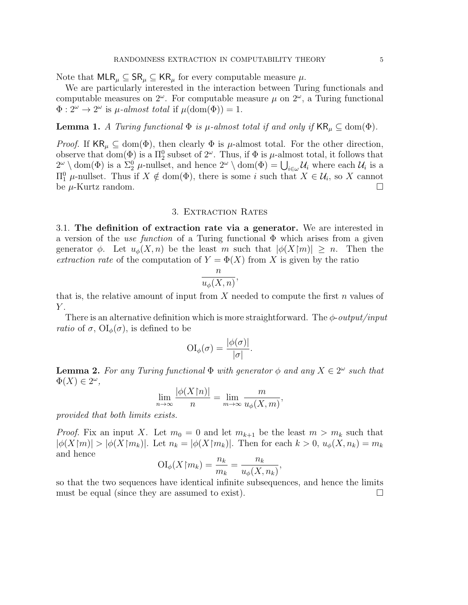Note that  $MLR_\mu \subseteq SR_\mu \subseteq KR_\mu$  for every computable measure  $\mu$ .

We are particularly interested in the interaction between Turing functionals and computable measures on  $2^{\omega}$ . For computable measure  $\mu$  on  $2^{\omega}$ , a Turing functional  $\Phi: 2^{\omega} \to 2^{\omega}$  is  $\mu$ -almost total if  $\mu(\text{dom}(\Phi)) = 1$ .

**Lemma 1.** A Turing functional  $\Phi$  is  $\mu$ -almost total if and only if  $KR_{\mu} \subseteq \text{dom}(\Phi)$ .

*Proof.* If  $KR_\mu \subseteq \text{dom}(\Phi)$ , then clearly  $\Phi$  is  $\mu$ -almost total. For the other direction, observe that  $dom(\Phi)$  is a  $\Pi_2^0$  subset of  $2^{\omega}$ . Thus, if  $\Phi$  is  $\mu$ -almost total, it follows that  $2^{\omega} \setminus \text{dom}(\Phi)$  is a  $\Sigma_2^0$   $\mu$ -nullset, and hence  $2^{\omega} \setminus \text{dom}(\Phi) = \bigcup_{i \in \omega} \mathcal{U}_i$  where each  $\mathcal{U}_i$  is a  $\Pi<sub>1</sub><sup>0</sup>$  μ-nullset. Thus if  $X \notin dom(Φ)$ , there is some *i* such that  $X ∈ U<sub>i</sub>$ , so X cannot be  $\mu$ -Kurtz random.

### 3. Extraction Rates

<span id="page-4-0"></span>3.1. The definition of extraction rate via a generator. We are interested in a version of the use function of a Turing functional  $\Phi$  which arises from a given generator  $\phi$ . Let  $u_{\phi}(X,n)$  be the least m such that  $|\phi(X|m)| \geq n$ . Then the extraction rate of the computation of  $Y = \Phi(X)$  from X is given by the ratio

$$
\frac{n}{u_{\phi}(X,n)},
$$

that is, the relative amount of input from X needed to compute the first  $n$  values of  $Y$ .

There is an alternative definition which is more straightforward. The  $\phi$ -*output/input ratio* of  $\sigma$ ,  $\text{OI}_{\phi}(\sigma)$ , is defined to be

$$
\mathrm{OI}_{\phi}(\sigma) = \frac{|\phi(\sigma)|}{|\sigma|}.
$$

**Lemma 2.** For any Turing functional  $\Phi$  with generator  $\phi$  and any  $X \in 2^{\omega}$  such that  $\Phi(X) \in 2^{\omega},$  $|p|/|\mathbf{x}|\leq \sqrt{N}$ 

$$
\lim_{n \to \infty} \frac{|\phi(X \upharpoonright n)|}{n} = \lim_{m \to \infty} \frac{m}{u_{\phi}(X, m)},
$$

provided that both limits exists.

*Proof.* Fix an input X. Let  $m_0 = 0$  and let  $m_{k+1}$  be the least  $m > m_k$  such that  $|\phi(X\mathbb{m})| > |\phi(X\mathbb{m}_k)|$ . Let  $n_k = |\phi(X\mathbb{m}_k)|$ . Then for each  $k > 0$ ,  $u_\phi(X, n_k) = m_k$ and hence

$$
\mathrm{OI}_{\phi}(X\mathord{\upharpoonright} m_k) = \frac{n_k}{m_k} = \frac{n_k}{u_{\phi}(X, n_k)},
$$

so that the two sequences have identical infinite subsequences, and hence the limits must be equal (since they are assumed to exist).  $\Box$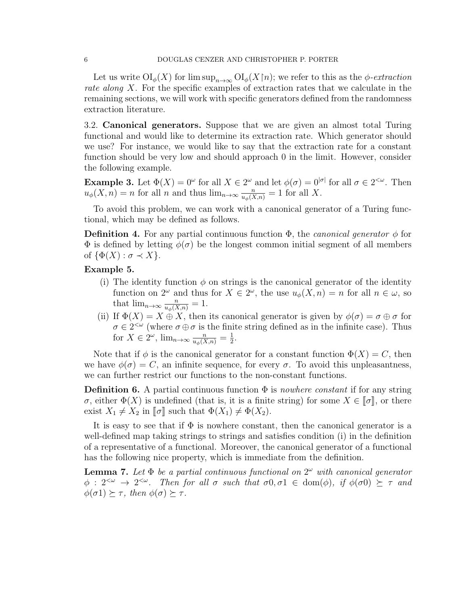Let us write  $\text{OI}_{\phi}(X)$  for  $\limsup_{n\to\infty} \text{OI}_{\phi}(X\upharpoonright n)$ ; we refer to this as the  $\phi$ -extraction rate along X. For the specific examples of extraction rates that we calculate in the remaining sections, we will work with specific generators defined from the randomness extraction literature.

3.2. Canonical generators. Suppose that we are given an almost total Turing functional and would like to determine its extraction rate. Which generator should we use? For instance, we would like to say that the extraction rate for a constant function should be very low and should approach 0 in the limit. However, consider the following example.

**Example 3.** Let  $\Phi(X) = 0^{\omega}$  for all  $X \in 2^{\omega}$  and let  $\phi(\sigma) = 0^{|\sigma|}$  for all  $\sigma \in 2^{<\omega}$ . Then  $u_{\phi}(X,n) = n$  for all n and thus  $\lim_{n \to \infty} \frac{n}{u_{\phi}(X,n)} = 1$  for all X.

To avoid this problem, we can work with a canonical generator of a Turing functional, which may be defined as follows.

**Definition 4.** For any partial continuous function  $\Phi$ , the *canonical generator*  $\phi$  for  $\Phi$  is defined by letting  $\phi(\sigma)$  be the longest common initial segment of all members of  $\{\Phi(X): \sigma \prec X\}.$ 

## Example 5.

- (i) The identity function  $\phi$  on strings is the canonical generator of the identity function on  $2^{\omega}$  and thus for  $X \in 2^{\omega}$ , the use  $u_{\phi}(X,n) = n$  for all  $n \in \omega$ , so that  $\lim_{n\to\infty} \frac{n}{u_{\phi}(X,n)} = 1$ .
- (ii) If  $\Phi(X) = X \oplus X$ , then its canonical generator is given by  $\phi(\sigma) = \sigma \oplus \sigma$  for  $\sigma \in 2^{<\omega}$  (where  $\sigma \oplus \sigma$  is the finite string defined as in the infinite case). Thus for  $X \in 2^{\omega}$ ,  $\lim_{n \to \infty} \frac{n}{u_{\phi}(X,n)} = \frac{1}{2}$  $\frac{1}{2}$ .

Note that if  $\phi$  is the canonical generator for a constant function  $\Phi(X) = C$ , then we have  $\phi(\sigma) = C$ , an infinite sequence, for every  $\sigma$ . To avoid this unpleasantness, we can further restrict our functions to the non-constant functions.

**Definition 6.** A partial continuous function  $\Phi$  is *nowhere constant* if for any string σ, either  $\Phi(X)$  is undefined (that is, it is a finite string) for some  $X \in [\![\sigma]\!]$ , or there exist  $X_1 \neq X_2$  in  $\llbracket \sigma \rrbracket$  such that  $\Phi(X_1) \neq \Phi(X_2)$ .

It is easy to see that if  $\Phi$  is nowhere constant, then the canonical generator is a well-defined map taking strings to strings and satisfies condition (i) in the definition of a representative of a functional. Moreover, the canonical generator of a functional has the following nice property, which is immediate from the definition.

**Lemma 7.** Let  $\Phi$  be a partial continuous functional on  $2^{\omega}$  with canonical generator  $\phi: 2^{&\omega} \to 2^{&\omega}$ . Then for all  $\sigma$  such that  $\sigma 0, \sigma 1 \in \text{dom}(\phi)$ , if  $\phi(\sigma 0) \succeq \tau$  and  $\phi(\sigma_1) \succeq \tau$ , then  $\phi(\sigma) \succeq \tau$ .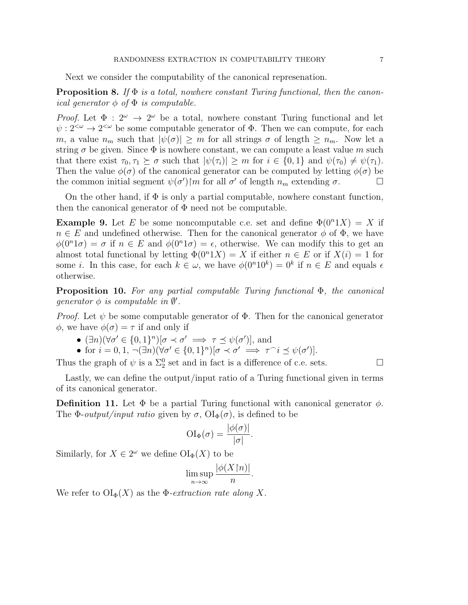Next we consider the computability of the canonical represenation.

**Proposition 8.** If  $\Phi$  is a total, nowhere constant Turing functional, then the canonical generator  $\phi$  of  $\Phi$  is computable.

*Proof.* Let  $\Phi : 2^{\omega} \to 2^{\omega}$  be a total, nowhere constant Turing functional and let  $\psi : 2^{<\omega} \to 2^{<\omega}$  be some computable generator of  $\Phi$ . Then we can compute, for each m, a value  $n_m$  such that  $|\psi(\sigma)| \geq m$  for all strings  $\sigma$  of length  $\geq n_m$ . Now let a string  $\sigma$  be given. Since  $\Phi$  is nowhere constant, we can compute a least value m such that there exist  $\tau_0, \tau_1 \succeq \sigma$  such that  $|\psi(\tau_i)| \geq m$  for  $i \in \{0, 1\}$  and  $\psi(\tau_0) \neq \psi(\tau_1)$ . Then the value  $\phi(\sigma)$  of the canonical generator can be computed by letting  $\phi(\sigma)$  be the common initial segment  $\psi(\sigma')\$ im for all  $\sigma'$  of length  $n_m$  extending  $\sigma$ .

On the other hand, if  $\Phi$  is only a partial computable, nowhere constant function, then the canonical generator of  $\Phi$  need not be computable.

**Example 9.** Let E be some noncomputable c.e. set and define  $\Phi(0^n1X) = X$  if  $n \in E$  and undefined otherwise. Then for the canonical generator  $\phi$  of  $\Phi$ , we have  $\phi(0^n 1\sigma) = \sigma$  if  $n \in E$  and  $\phi(0^n 1\sigma) = \epsilon$ , otherwise. We can modify this to get an almost total functional by letting  $\Phi(0^n 1X) = X$  if either  $n \in E$  or if  $X(i) = 1$  for some *i*. In this case, for each  $k \in \omega$ , we have  $\phi(0^n 10^k) = 0^k$  if  $n \in E$  and equals  $\epsilon$ otherwise.

**Proposition 10.** For any partial computable Turing functional  $\Phi$ , the canonical generator  $\phi$  is computable in  $\emptyset'$ .

*Proof.* Let  $\psi$  be some computable generator of  $\Phi$ . Then for the canonical generator  $\phi$ , we have  $\phi(\sigma) = \tau$  if and only if

- $(\exists n)(\forall \sigma' \in \{0,1\}^n) [\sigma \prec \sigma' \implies \tau \preceq \psi(\sigma')]$ , and
- for  $i = 0, 1, \neg(\exists n)(\forall \sigma' \in \{0, 1\}^n) [\sigma \prec \sigma' \implies \tau^\frown i \preceq \psi(\sigma')].$

Thus the graph of  $\psi$  is a  $\Sigma_2^0$  set and in fact is a difference of c.e. sets.

Lastly, we can define the output/input ratio of a Turing functional given in terms of its canonical generator.

**Definition 11.** Let  $\Phi$  be a partial Turing functional with canonical generator  $\phi$ . The  $\Phi$ -*output/input ratio* given by  $\sigma$ ,  $\text{OI}_{\Phi}(\sigma)$ , is defined to be

$$
\mathrm{OI}_{\Phi}(\sigma) = \frac{|\phi(\sigma)|}{|\sigma|}.
$$

Similarly, for  $X \in 2^{\omega}$  we define  $\text{OI}_{\Phi}(X)$  to be

$$
\limsup_{n \to \infty} \frac{|\phi(X \restriction n)|}{n}.
$$

We refer to  $\text{OI}_{\Phi}(X)$  as the  $\Phi$ -*extraction rate along* X.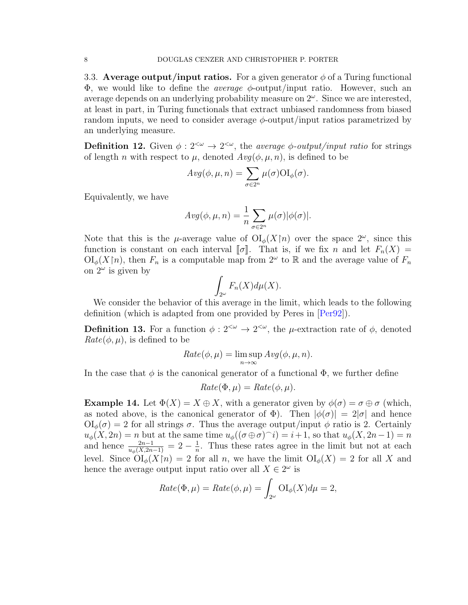<span id="page-7-0"></span>3.3. Average output/input ratios. For a given generator  $\phi$  of a Turing functional  $\Phi$ , we would like to define the *average*  $\phi$ -output/input ratio. However, such an average depends on an underlying probability measure on  $2^{\omega}$ . Since we are interested, at least in part, in Turing functionals that extract unbiased randomness from biased random inputs, we need to consider average  $\phi$ -output/input ratios parametrized by an underlying measure.

**Definition 12.** Given  $\phi: 2^{<\omega} \to 2^{<\omega}$ , the *average*  $\phi$ -*output/input ratio* for strings of length n with respect to  $\mu$ , denoted  $Avq(\phi, \mu, n)$ , is defined to be

$$
Avg(\phi, \mu, n) = \sum_{\sigma \in 2^n} \mu(\sigma) \text{OI}_{\phi}(\sigma).
$$

Equivalently, we have

$$
Avg(\phi, \mu, n) = \frac{1}{n} \sum_{\sigma \in 2^n} \mu(\sigma) |\phi(\sigma)|.
$$

Note that this is the  $\mu$ -average value of  $\text{OI}_{\phi}(X[n])$  over the space  $2^{\omega}$ , since this function is constant on each interval  $\llbracket \sigma \rrbracket$ . That is, if we fix n and let  $F_n(X) =$  $\mathrm{OI}_{\phi}(X\upharpoonright n)$ , then  $F_n$  is a computable map from  $2^{\omega}$  to R and the average value of  $F_n$ on  $2^{\omega}$  is given by

$$
\int_{2^{\omega}} F_n(X) d\mu(X).
$$

We consider the behavior of this average in the limit, which leads to the following definition (which is adapted from one provided by Peres in [\[Per92\]](#page-25-1)).

**Definition 13.** For a function  $\phi: 2^{<\omega} \to 2^{<\omega}$ , the  $\mu$ -extraction rate of  $\phi$ , denoted  $Rate(\phi, \mu)$ , is defined to be

$$
Rate(\phi, \mu) = \limsup_{n \to \infty} Avg(\phi, \mu, n).
$$

In the case that  $\phi$  is the canonical generator of a functional  $\Phi$ , we further define

$$
Rate(\Phi,\mu) = Rate(\phi,\mu).
$$

**Example 14.** Let  $\Phi(X) = X \oplus X$ , with a generator given by  $\phi(\sigma) = \sigma \oplus \sigma$  (which, as noted above, is the canonical generator of  $\Phi$ ). Then  $|\phi(\sigma)| = 2|\sigma|$  and hence  $\mathrm{OI}_{\phi}(\sigma) = 2$  for all strings  $\sigma$ . Thus the average output/input  $\phi$  ratio is 2. Certainly  $u_{\phi}(X, 2n) = n$  but at the same time  $u_{\phi}((\sigma \oplus \sigma) \cap i) = i + 1$ , so that  $u_{\phi}(X, 2n - 1) = n$ and hence  $\frac{2n-1}{u_{\phi}(X,2n-1)} = 2 - \frac{1}{n}$  $\frac{1}{n}$ . Thus these rates agree in the limit but not at each level. Since  $\text{OI}_{\phi}(X\upharpoonright n) = 2$  for all n, we have the limit  $\text{OI}_{\phi}(X) = 2$  for all X and hence the average output input ratio over all  $X \in 2^{\omega}$  is

$$
Rate(\Phi, \mu) = Rate(\phi, \mu) = \int_{2^{\omega}} \mathrm{OI}_{\phi}(X) d\mu = 2,
$$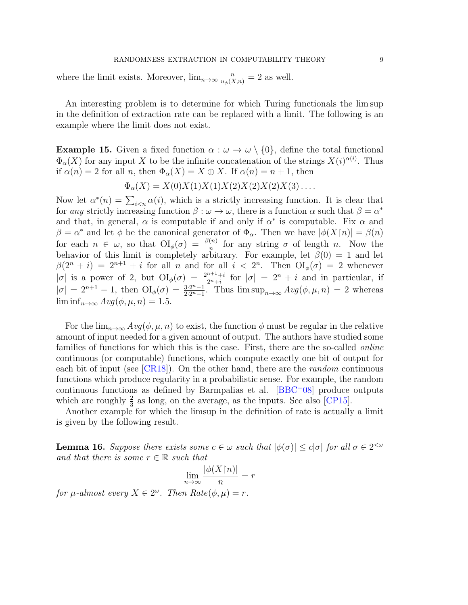### RANDOMNESS EXTRACTION IN COMPUTABILITY THEORY 9

<span id="page-8-1"></span>where the limit exists. Moreover,  $\lim_{n\to\infty} \frac{n}{u_\phi(X,n)} = 2$  as well.

An interesting problem is to determine for which Turing functionals the lim sup in the definition of extraction rate can be replaced with a limit. The following is an example where the limit does not exist.

**Example 15.** Given a fixed function  $\alpha : \omega \to \omega \setminus \{0\}$ , define the total functional  $\Phi_{\alpha}(X)$  for any input X to be the infinite concatenation of the strings  $X(i)^{\alpha(i)}$ . Thus if  $\alpha(n) = 2$  for all n, then  $\Phi_{\alpha}(X) = X \oplus X$ . If  $\alpha(n) = n + 1$ , then

$$
\Phi_{\alpha}(X) = X(0)X(1)X(1)X(2)X(2)X(2)X(3)\dots
$$

Now let  $\alpha^*(n) = \sum_{i \leq n} \alpha(i)$ , which is a strictly increasing function. It is clear that for any strictly increasing function  $\beta : \omega \to \omega$ , there is a function  $\alpha$  such that  $\beta = \alpha^*$ and that, in general,  $\alpha$  is computable if and only if  $\alpha^*$  is computable. Fix  $\alpha$  and  $\beta = \alpha^*$  and let  $\phi$  be the canonical generator of  $\Phi_{\alpha}$ . Then we have  $|\phi(X[n)] = \beta(n)$ for each  $n \in \omega$ , so that  $\mathrm{OI}_{\phi}(\sigma) = \frac{\beta(n)}{n}$  for any string  $\sigma$  of length n. Now the behavior of this limit is completely arbitrary. For example, let  $\beta(0) = 1$  and let  $\beta(2^n+i) = 2^{n+1}+i$  for all n and for all  $i < 2^n$ . Then  $\text{OI}_{\phi}(\sigma) = 2$  whenever | $\sigma$ | is a power of 2, but  $\mathrm{OI}_{\phi}(\sigma) = \frac{2^{n+1}+i}{2^{n}+i}$  $rac{n+1+i}{2^n+i}$  for  $|\sigma| = 2^n + i$  and in particular, if  $|\sigma| = 2^{n+1} - 1$ , then  $\text{OI}_{\phi}(\sigma) = \frac{3 \cdot 2^{n}-1}{2 \cdot 2^{n}-1}$  $\frac{3 \cdot 2^{n}-1}{2 \cdot 2^{n}-1}$ . Thus  $\limsup_{n \to \infty} Avg(\phi, \mu, n) = 2$  whereas  $\liminf_{n\to\infty} Avg(\phi,\mu,n) = 1.5.$ 

For the  $\lim_{n\to\infty} Avg(\phi,\mu,n)$  to exist, the function  $\phi$  must be regular in the relative amount of input needed for a given amount of output. The authors have studied some families of functions for which this is the case. First, there are the so-called *online* continuous (or computable) functions, which compute exactly one bit of output for each bit of input (see  $[CR18]$ ). On the other hand, there are the *random* continuous functions which produce regularity in a probabilistic sense. For example, the random continuous functions as defined by Barmpalias et al.  $[BBC^+08]$  $[BBC^+08]$  produce outputs which are roughly  $\frac{2}{3}$  as long, on the average, as the inputs. See also [\[CP15\]](#page-24-8).

Another example for which the limsup in the definition of rate is actually a limit is given by the following result.

<span id="page-8-0"></span>**Lemma 16.** Suppose there exists some  $c \in \omega$  such that  $|\phi(\sigma)| \leq c|\sigma|$  for all  $\sigma \in 2^{< \omega}$ and that there is some  $r \in \mathbb{R}$  such that

$$
\lim_{n \to \infty} \frac{|\phi(X \restriction n)|}{n} = r
$$

for  $\mu$ -almost every  $X \in 2^{\omega}$ . Then  $Rate(\phi, \mu) = r$ .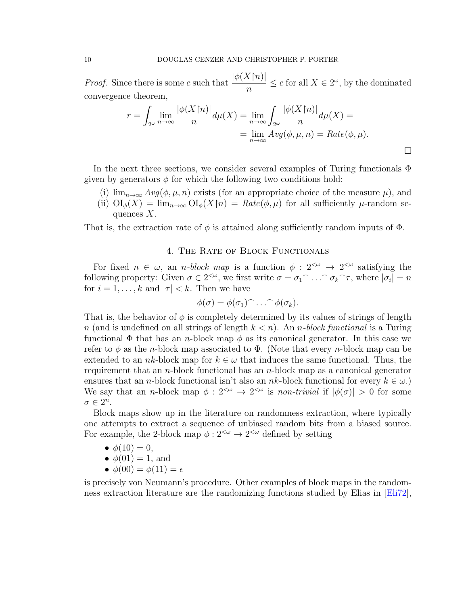<span id="page-9-1"></span>*Proof.* Since there is some c such that  $\frac{|\phi(X[n)]|}{\phi(X[n)]}$ n  $\leq c$  for all  $X \in 2^{\omega}$ , by the dominated convergence theorem,

$$
r = \int_{2^{\omega}} \lim_{n \to \infty} \frac{|\phi(X\upharpoonright n)|}{n} d\mu(X) = \lim_{n \to \infty} \int_{2^{\omega}} \frac{|\phi(X\upharpoonright n)|}{n} d\mu(X) =
$$
  
= 
$$
\lim_{n \to \infty} Avg(\phi, \mu, n) = Rate(\phi, \mu).
$$

In the next three sections, we consider several examples of Turing functionals  $\Phi$ given by generators  $\phi$  for which the following two conditions hold:

(i)  $\lim_{n\to\infty} Avg(\phi,\mu,n)$  exists (for an appropriate choice of the measure  $\mu$ ), and (ii)  $\mathrm{OI}_{\phi}(X) = \lim_{n\to\infty} \mathrm{OI}_{\phi}(X\upharpoonright n) = Rate(\phi,\mu)$  for all sufficiently  $\mu$ -random sequences  $X$ .

That is, the extraction rate of  $\phi$  is attained along sufficiently random inputs of  $\Phi$ .

## 4. The Rate of Block Functionals

<span id="page-9-0"></span>For fixed  $n \in \omega$ , an *n*-block map is a function  $\phi : 2^{<\omega} \to 2^{<\omega}$  satisfying the following property: Given  $\sigma \in 2^{<\omega}$ , we first write  $\sigma = \sigma_1 \cap \ldots \cap \sigma_k \cap \tau$ , where  $|\sigma_i| = n$ for  $i = 1, \ldots, k$  and  $|\tau| < k$ . Then we have

$$
\phi(\sigma)=\phi(\sigma_1)\widehat{\phantom{\alpha}}\ldots\widehat{\phantom{\alpha}}\phi(\sigma_k).
$$

That is, the behavior of  $\phi$  is completely determined by its values of strings of length n (and is undefined on all strings of length  $k < n$ ). An n-block functional is a Turing functional  $\Phi$  that has an *n*-block map  $\phi$  as its canonical generator. In this case we refer to  $\phi$  as the *n*-block map associated to  $\Phi$ . (Note that every *n*-block map can be extended to an nk-block map for  $k \in \omega$  that induces the same functional. Thus, the requirement that an *n*-block functional has an *n*-block map as a canonical generator ensures that an *n*-block functional isn't also an *nk*-block functional for every  $k \in \omega$ .) We say that an *n*-block map  $\phi: 2^{<\omega} \to 2^{<\omega}$  is *non-trivial* if  $|\phi(\sigma)| > 0$  for some  $\sigma \in 2^n$ .

Block maps show up in the literature on randomness extraction, where typically one attempts to extract a sequence of unbiased random bits from a biased source. For example, the 2-block map  $\phi: 2^{<\omega} \to 2^{<\omega}$  defined by setting

- $\phi(10) = 0$ ,
- $\bullet \phi(01) = 1$ , and
- $\phi(00) = \phi(11) = \epsilon$

is precisely von Neumann's procedure. Other examples of block maps in the randomness extraction literature are the randomizing functions studied by Elias in [\[Eli72\]](#page-24-9),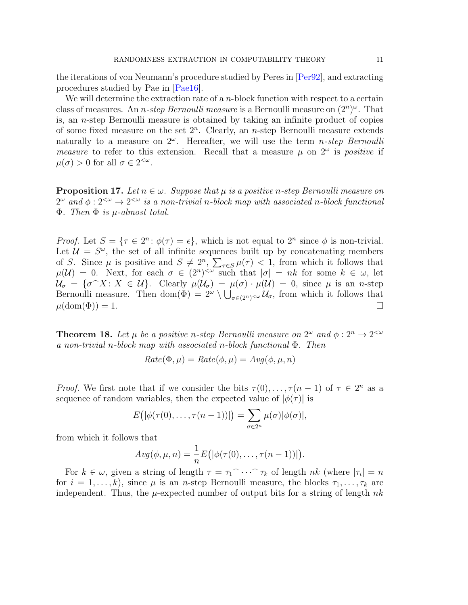<span id="page-10-2"></span>the iterations of von Neumann's procedure studied by Peres in [\[Per92\]](#page-25-1), and extracting procedures studied by Pae in [\[Pae16\]](#page-25-5).

We will determine the extraction rate of a  $n$ -block function with respect to a certain class of measures. An *n*-step Bernoulli measure is a Bernoulli measure on  $(2^n)^\omega$ . That is, an  $n$ -step Bernoulli measure is obtained by taking an infinite product of copies of some fixed measure on the set  $2^n$ . Clearly, an *n*-step Bernoulli measure extends naturally to a measure on  $2^{\omega}$ . Hereafter, we will use the term *n-step Bernoulli* measure to refer to this extension. Recall that a measure  $\mu$  on  $2^{\omega}$  is *positive* if  $\mu(\sigma) > 0$  for all  $\sigma \in 2^{<\omega}$ .

<span id="page-10-1"></span>**Proposition 17.** Let  $n \in \omega$ . Suppose that  $\mu$  is a positive n-step Bernoulli measure on  $2^{\omega}$  and  $\phi: 2^{<\omega} \to 2^{<\omega}$  is a non-trivial n-block map with associated n-block functional  $\Phi$ . Then  $\Phi$  is  $\mu$ -almost total.

*Proof.* Let  $S = \{ \tau \in 2^n : \phi(\tau) = \epsilon \}$ , which is not equal to  $2^n$  since  $\phi$  is non-trivial. Let  $\mathcal{U} = S^{\omega}$ , the set of all infinite sequences built up by concatenating members of S. Since  $\mu$  is positive and  $S \neq 2^n$ ,  $\sum_{\tau \in S} \mu(\tau) < 1$ , from which it follows that  $\mu(\mathcal{U}) = 0$ . Next, for each  $\sigma \in (2^n)^{<\omega}$  such that  $|\sigma| = nk$  for some  $k \in \omega$ , let  $\mathcal{U}_{\sigma} = \{\sigma \cap X : X \in \mathcal{U}\}\.$  Clearly  $\mu(\mathcal{U}_{\sigma}) = \mu(\sigma) \cdot \mu(\mathcal{U}) = 0$ , since  $\mu$  is an *n*-step Bernoulli measure. Then dom $(\Phi) = 2^{\omega} \setminus \bigcup_{\sigma \in (2^n)^{<\omega}} \mathcal{U}_{\sigma}$ , from which it follows that  $\mu(\text{dom}(\Phi)) = 1.$ 

<span id="page-10-0"></span>**Theorem 18.** Let  $\mu$  be a positive n-step Bernoulli measure on  $2^{\omega}$  and  $\phi: 2^{n} \to 2^{<\omega}$ a non-trivial n-block map with associated n-block functional Φ. Then

$$
Rate(\Phi, \mu) = Rate(\phi, \mu) = Avg(\phi, \mu, n)
$$

*Proof.* We first note that if we consider the bits  $\tau(0), \ldots, \tau(n-1)$  of  $\tau \in 2^n$  as a sequence of random variables, then the expected value of  $|\phi(\tau)|$  is

$$
E(|\phi(\tau(0),\ldots,\tau(n-1))|) = \sum_{\sigma\in 2^n} \mu(\sigma)|\phi(\sigma)|,
$$

from which it follows that

$$
Avg(\phi,\mu,n)=\frac{1}{n}E(|\phi(\tau(0),\ldots,\tau(n-1))|).
$$

For  $k \in \omega$ , given a string of length  $\tau = \tau_1 \cap \cdots \cap \tau_k$  of length  $nk$  (where  $|\tau_i| = n$ for  $i = 1, \ldots, k$ , since  $\mu$  is an *n*-step Bernoulli measure, the blocks  $\tau_1, \ldots, \tau_k$  are independent. Thus, the  $\mu$ -expected number of output bits for a string of length nk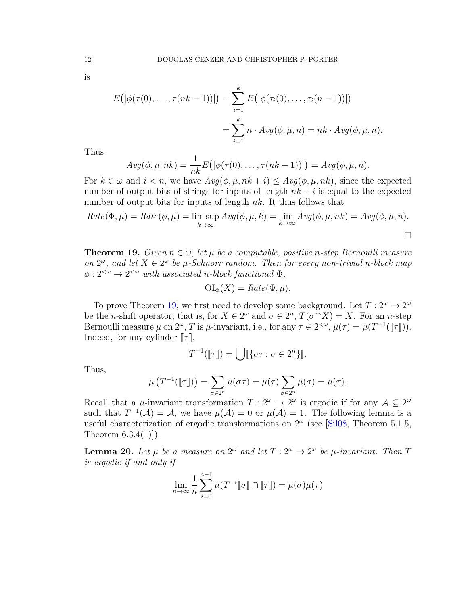is

$$
E\big(|\phi(\tau(0),\ldots,\tau(nk-1))|\big) = \sum_{i=1}^k E\big(|\phi(\tau_i(0),\ldots,\tau_i(n-1))|\big)
$$
  
= 
$$
\sum_{i=1}^k n \cdot Avg(\phi,\mu,n) = nk \cdot Avg(\phi,\mu,n).
$$

Thus

$$
Avg(\phi, \mu, nk) = \frac{1}{nk} E\big(|\phi(\tau(0), \ldots, \tau(nk-1))|\big) = Avg(\phi, \mu, n).
$$

For  $k \in \omega$  and  $i < n$ , we have  $Avg(\phi, \mu, nk + i) \leq Avg(\phi, \mu, nk)$ , since the expected number of output bits of strings for inputs of length  $nk + i$  is equal to the expected number of output bits for inputs of length  $nk$ . It thus follows that

$$
Rate(\Phi, \mu) = Rate(\phi, \mu) = \limsup_{k \to \infty} Avg(\phi, \mu, k) = \lim_{k \to \infty} Avg(\phi, \mu, nk) = Avg(\phi, \mu, n).
$$

<span id="page-11-0"></span>**Theorem 19.** Given  $n \in \omega$ , let  $\mu$  be a computable, positive n-step Bernoulli measure on  $2^{\omega}$ , and let  $X \in 2^{\omega}$  be  $\mu$ -Schnorr random. Then for every non-trivial n-block map  $\phi: 2^{<\omega} \to 2^{<\omega}$  with associated n-block functional  $\Phi$ ,

$$
\mathrm{OI}_{\Phi}(X) = \mathit{Rate}(\Phi, \mu).
$$

To prove Theorem [19,](#page-11-0) we first need to develop some background. Let  $T: 2^{\omega} \to 2^{\omega}$ be the *n*-shift operator; that is, for  $X \in 2^{\omega}$  and  $\sigma \in 2^n$ ,  $T(\sigma \cap X) = X$ . For an *n*-step Bernoulli measure  $\mu$  on  $2^{\omega}$ , T is  $\mu$ -invariant, i.e., for any  $\tau \in 2^{<\omega}$ ,  $\mu(\tau) = \mu(T^{-1}([\![\tau]\!]))$ .<br>Indeed, for any evlinter  $\llbracket \tau \rrbracket$ Indeed, for any cylinder  $\llbracket \tau \rrbracket$ ,

$$
T^{-1}(\llbracket \tau \rrbracket) = \bigcup \llbracket \{\sigma \tau : \sigma \in 2^n\} \rrbracket.
$$

Thus,

$$
\mu(T^{-1}(\llbracket \tau \rrbracket)) = \sum_{\sigma \in 2^n} \mu(\sigma \tau) = \mu(\tau) \sum_{\sigma \in 2^n} \mu(\sigma) = \mu(\tau).
$$

Recall that a  $\mu$ -invariant transformation  $T: 2^{\omega} \to 2^{\omega}$  is ergodic if for any  $\mathcal{A} \subseteq 2^{\omega}$ such that  $T^{-1}(\mathcal{A}) = \mathcal{A}$ , we have  $\mu(\mathcal{A}) = 0$  or  $\mu(\mathcal{A}) = 1$ . The following lemma is a useful characterization of ergodic transformations on  $2^{\omega}$  (see [\[Sil08,](#page-25-6) Theorem 5.1.5, Theorem  $6.3.4(1)$ .

<span id="page-11-1"></span>**Lemma 20.** Let  $\mu$  be a measure on  $2^{\omega}$  and let  $T: 2^{\omega} \to 2^{\omega}$  be  $\mu$ -invariant. Then T is ergodic if and only if

$$
\lim_{n\to\infty}\frac{1}{n}\sum_{i=0}^{n-1}\mu(T^{-i}\llbracket\sigma\rrbracket\cap\llbracket\tau\rrbracket)=\mu(\sigma)\mu(\tau)
$$

<span id="page-11-2"></span>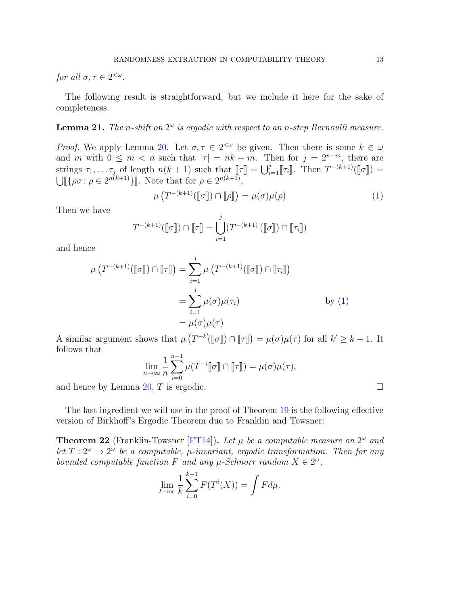<span id="page-12-2"></span>for all  $\sigma, \tau \in 2^{<\omega}$ .

The following result is straightforward, but we include it here for the sake of completeness.

# **Lemma 21.** The n-shift on  $2^{\omega}$  is ergodic with respect to an n-step Bernoulli measure.

Proof. We apply Lemma [20.](#page-11-1) Let  $\sigma, \tau \in 2^{<\omega}$  be given. Then there is some  $k \in \omega$ and m with  $0 \leq m < n$  such that  $|\tau| = nk + m$ . Then for  $j = 2^{n-m}$ , there are strings  $\tau_1, \ldots \tau_j$  of length  $n(k + 1)$  such that  $[\![\tau]\!] = \bigcup_{i=1}^j [\![\tau_i]\!]$ . Then  $T^{-(k+1)}([\![\sigma]\!]) = \bigcup_{i=1}^j [\![\rho \sigma : \rho \in 2^{n(k+1)}\!]$ . Note that for  $\rho \in 2^{n(k+1)}$ ,

<span id="page-12-0"></span>
$$
\mu\left(T^{-(k+1)}(\llbracket \sigma \rrbracket) \cap \llbracket \rho \rrbracket\right) = \mu(\sigma)\mu(\rho) \tag{1}
$$

Then we have

$$
T^{-(k+1)}(\llbracket \sigma \rrbracket) \cap \llbracket \tau \rrbracket = \bigcup_{i=1}^j (T^{-(k+1)}\left(\llbracket \sigma \rrbracket\right) \cap \llbracket \tau_i \rrbracket)
$$

and hence

$$
\mu(T^{-(k+1)}([\sigma]) \cap [\![\tau]\!]) = \sum_{i=1}^{j} \mu(T^{-(k+1)}([\![\sigma]\!]) \cap [\![\tau_i]\!])
$$

$$
= \sum_{i=1}^{j} \mu(\sigma) \mu(\tau_i)
$$
by (1)
$$
= \mu(\sigma) \mu(\tau)
$$

A similar argument shows that  $\mu(T^{-k'}([\![\sigma]\!]) \cap [\![\tau]\!]) = \mu(\sigma)\mu(\tau)$  for all  $k' \geq k+1$ . It follows that follows that

$$
\lim_{n \to \infty} \frac{1}{n} \sum_{i=0}^{n-1} \mu(T^{-i} \llbracket \sigma \rrbracket \cap \llbracket \tau \rrbracket) = \mu(\sigma) \mu(\tau),
$$

and hence by Lemma [20,](#page-11-1) T is ergodic.  $\square$ 

The last ingredient we will use in the proof of Theorem [19](#page-11-0) is the following effective version of Birkhoff's Ergodic Theorem due to Franklin and Towsner:

<span id="page-12-1"></span>**Theorem 22** (Franklin-Towsner [\[FT14\]](#page-24-10)). Let  $\mu$  be a computable measure on  $2^{\omega}$  and let  $T: 2^{\omega} \to 2^{\omega}$  be a computable,  $\mu$ -invariant, ergodic transformation. Then for any bounded computable function F and any  $\mu$ -Schnorr random  $X \in 2^{\omega}$ ,

$$
\lim_{k \to \infty} \frac{1}{k} \sum_{i=0}^{k-1} F(T^i(X)) = \int F d\mu.
$$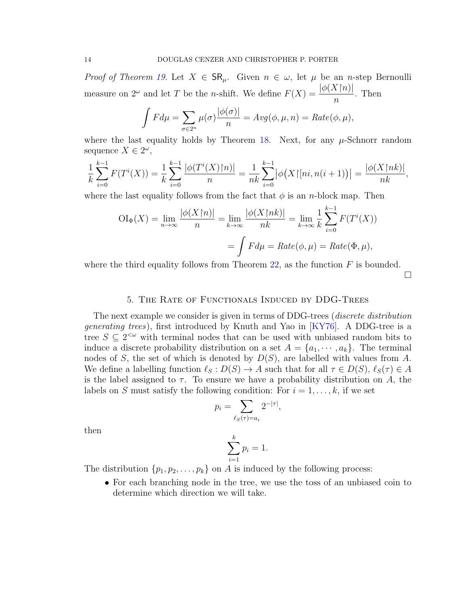<span id="page-13-1"></span>*Proof of Theorem [19.](#page-11-0)* Let  $X \in \mathsf{SR}_{\mu}$ . Given  $n \in \omega$ , let  $\mu$  be an *n*-step Bernoulli measure on  $2^{\omega}$  and let T be the n-shift. We define  $F(X) = \frac{|\phi(X\upharpoonright n)|}{\phi(X\upharpoonright n)}$ n . Then

$$
\int F d\mu = \sum_{\sigma \in 2^n} \mu(\sigma) \frac{|\phi(\sigma)|}{n} = Avg(\phi, \mu, n) = Rate(\phi, \mu),
$$

where the last equality holds by Theorem [18.](#page-10-0) Next, for any  $\mu$ -Schnorr random sequence  $X \in 2^{\omega}$ ,

$$
\frac{1}{k}\sum_{i=0}^{k-1}F(T^i(X)) = \frac{1}{k}\sum_{i=0}^{k-1}\frac{|\phi(T^i(X)\upharpoonright n)|}{n} = \frac{1}{nk}\sum_{i=0}^{k-1}|\phi(X\upharpoonright n; n(i+1))| = \frac{|\phi(X\upharpoonright nk)|}{nk},
$$

where the last equality follows from the fact that  $\phi$  is an *n*-block map. Then

$$
OI_{\Phi}(X) = \lim_{n \to \infty} \frac{|\phi(X \upharpoonright n)|}{n} = \lim_{k \to \infty} \frac{|\phi(X \upharpoonright nk)|}{nk} = \lim_{k \to \infty} \frac{1}{k} \sum_{i=0}^{k-1} F(T^i(X))
$$

$$
= \int F d\mu = Rate(\phi, \mu) = Rate(\Phi, \mu),
$$

where the third equality follows from Theorem [22,](#page-12-1) as the function  $F$  is bounded.

 $\Box$ 

# 5. The Rate of Functionals Induced by DDG-Trees

<span id="page-13-0"></span>The next example we consider is given in terms of DDG-trees (discrete distribution generating trees), first introduced by Knuth and Yao in [\[KY76\]](#page-24-1). A DDG-tree is a tree  $S \subseteq 2^{\lt \omega}$  with terminal nodes that can be used with unbiased random bits to induce a discrete probability distribution on a set  $A = \{a_1, \dots, a_k\}$ . The terminal nodes of S, the set of which is denoted by  $D(S)$ , are labelled with values from A. We define a labelling function  $\ell_S : D(S) \to A$  such that for all  $\tau \in D(S)$ ,  $\ell_S(\tau) \in A$ is the label assigned to  $\tau$ . To ensure we have a probability distribution on A, the labels on S must satisfy the following condition: For  $i = 1, \ldots, k$ , if we set

$$
p_i = \sum_{\ell_S(\tau) = a_i} 2^{-|\tau|},
$$

then

$$
\sum_{i=1}^{k} p_i = 1.
$$

The distribution  $\{p_1, p_2, \ldots, p_k\}$  on A is induced by the following process:

• For each branching node in the tree, we use the toss of an unbiased coin to determine which direction we will take.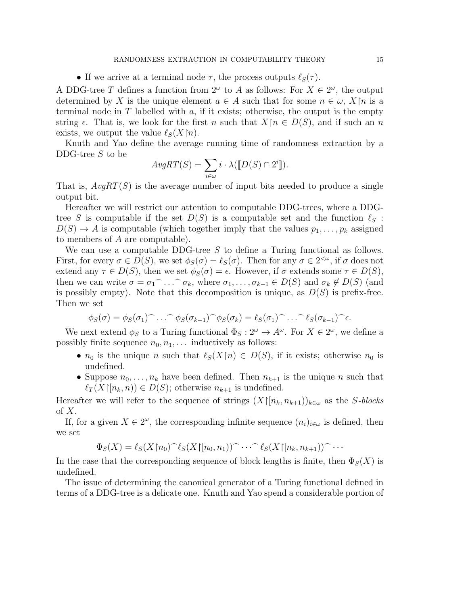• If we arrive at a terminal node  $\tau$ , the process outputs  $\ell_S(\tau)$ .

A DDG-tree T defines a function from  $2^{\omega}$  to A as follows: For  $X \in 2^{\omega}$ , the output determined by X is the unique element  $a \in A$  such that for some  $n \in \omega$ ,  $X\$ n is a terminal node in T labelled with a, if it exists; otherwise, the output is the empty string  $\epsilon$ . That is, we look for the first n such that  $X\upharpoonright n \in D(S)$ , and if such an n exists, we output the value  $\ell_S(X\upharpoonright n)$ .

Knuth and Yao define the average running time of randomness extraction by a DDG-tree S to be

$$
AvgRT(S) = \sum_{i \in \omega} i \cdot \lambda([\![D(S) \cap 2^i]\!]).
$$

That is,  $AvgRT(S)$  is the average number of input bits needed to produce a single output bit.

Hereafter we will restrict our attention to computable DDG-trees, where a DDGtree S is computable if the set  $D(S)$  is a computable set and the function  $\ell_S$ :  $D(S) \to A$  is computable (which together imply that the values  $p_1, \ldots, p_k$  assigned to members of A are computable).

We can use a computable DDG-tree  $S$  to define a Turing functional as follows. First, for every  $\sigma \in D(S)$ , we set  $\phi_S(\sigma) = \ell_S(\sigma)$ . Then for any  $\sigma \in 2^{<\omega}$ , if  $\sigma$  does not extend any  $\tau \in D(S)$ , then we set  $\phi_S(\sigma) = \epsilon$ . However, if  $\sigma$  extends some  $\tau \in D(S)$ , then we can write  $\sigma = \sigma_1$ <sup>-</sup> ...  $\sigma_k$ , where  $\sigma_1, \ldots, \sigma_{k-1} \in D(S)$  and  $\sigma_k \notin D(S)$  (and is possibly empty). Note that this decomposition is unique, as  $D(S)$  is prefix-free. Then we set

$$
\phi_S(\sigma) = \phi_S(\sigma_1) \cap \ldots \cap \phi_S(\sigma_{k-1}) \cap \phi_S(\sigma_k) = \ell_S(\sigma_1) \cap \ldots \cap \ell_S(\sigma_{k-1}) \cap \epsilon.
$$

We next extend  $\phi_S$  to a Turing functional  $\Phi_S : 2^{\omega} \to A^{\omega}$ . For  $X \in 2^{\omega}$ , we define a possibly finite sequence  $n_0, n_1, \ldots$  inductively as follows:

- $n_0$  is the unique n such that  $\ell_S(X\upharpoonright n) \in D(S)$ , if it exists; otherwise  $n_0$  is undefined.
- Suppose  $n_0, \ldots, n_k$  have been defined. Then  $n_{k+1}$  is the unique n such that  $\ell_T (X|[n_k, n)) \in D(S)$ ; otherwise  $n_{k+1}$  is undefined.

Hereafter we will refer to the sequence of strings  $(X[[n_k, n_{k+1}])_{k \in \omega}$  as the S-blocks of  $X$ .

If, for a given  $X \in 2^{\omega}$ , the corresponding infinite sequence  $(n_i)_{i \in \omega}$  is defined, then we set

$$
\Phi_S(X) = \ell_S(X \upharpoonright n_0)^\frown \ell_S(X \upharpoonright [n_0, n_1))^\frown \cdots^\frown \ell_S(X \upharpoonright [n_k, n_{k+1}))^\frown \cdots
$$

In the case that the corresponding sequence of block lengths is finite, then  $\Phi_S(X)$  is undefined.

The issue of determining the canonical generator of a Turing functional defined in terms of a DDG-tree is a delicate one. Knuth and Yao spend a considerable portion of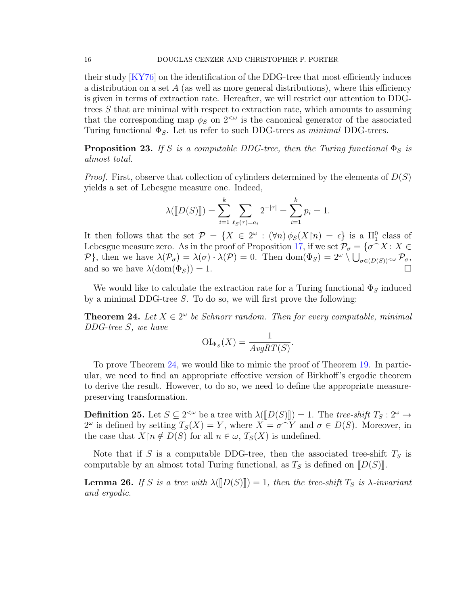<span id="page-15-1"></span>their study [\[KY76\]](#page-24-1) on the identification of the DDG-tree that most efficiently induces a distribution on a set  $A$  (as well as more general distributions), where this efficiency is given in terms of extraction rate. Hereafter, we will restrict our attention to DDGtrees S that are minimal with respect to extraction rate, which amounts to assuming that the corresponding map  $\phi_S$  on  $2^{<\omega}$  is the canonical generator of the associated Turing functional  $\Phi_{S}$ . Let us refer to such DDG-trees as *minimal* DDG-trees.

**Proposition 23.** If S is a computable DDG-tree, then the Turing functional  $\Phi_S$  is almost total.

*Proof.* First, observe that collection of cylinders determined by the elements of  $D(S)$ yields a set of Lebesgue measure one. Indeed,

$$
\lambda(\llbracket D(S) \rrbracket) = \sum_{i=1}^{k} \sum_{\ell_S(\tau) = a_i} 2^{-|\tau|} = \sum_{i=1}^{k} p_i = 1.
$$

It then follows that the set  $\mathcal{P} = \{X \in 2^{\omega} : (\forall n) \phi_S(X \cap n) = \epsilon\}$  is a  $\Pi_1^0$  class of Lebesgue measure zero. As in the proof of Proposition [17,](#page-10-1) if we set  $\mathcal{P}_{\sigma} = \{\sigma \cap X : X \in \mathcal{P} \}$ P}, then we have  $\lambda(\mathcal{P}_{\sigma}) = \lambda(\sigma) \cdot \lambda(\mathcal{P}) = 0$ . Then  $\text{dom}(\Phi_S) = 2^{\omega} \setminus \bigcup_{\sigma \in (D(S))^{<\omega}} \mathcal{P}_{\sigma}$ , and so we have  $\lambda(\text{dom}(\Phi_S)) = 1$ .

We would like to calculate the extraction rate for a Turing functional  $\Phi_S$  induced by a minimal DDG-tree  $S$ . To do so, we will first prove the following:

<span id="page-15-0"></span>**Theorem 24.** Let  $X \in 2^{\omega}$  be Schnorr random. Then for every computable, minimal DDG-tree S, we have

$$
\mathrm{OI}_{\Phi_S}(X) = \frac{1}{AvgRT(S)}.
$$

To prove Theorem [24,](#page-15-0) we would like to mimic the proof of Theorem [19.](#page-11-0) In particular, we need to find an appropriate effective version of Birkhoff's ergodic theorem to derive the result. However, to do so, we need to define the appropriate measurepreserving transformation.

**Definition 25.** Let  $S \subseteq 2^{<\omega}$  be a tree with  $\lambda([D(S)]) = 1$ . The tree-shift  $T_S : 2^{\omega} \to 2^{\omega}$  is defined by setting  $T_S(X) = Y$  where  $X = \sigma(Y)$  and  $\sigma \in D(S)$ . Mereover, in  $2^{\omega}$  is defined by setting  $T_S(X) = Y$ , where  $X = \sigma^{\sim} Y$  and  $\sigma \in D(S)$ . Moreover, in the case that  $X\upharpoonright n \notin D(S)$  for all  $n \in \omega$ ,  $T_S(X)$  is undefined.

Note that if S is a computable DDG-tree, then the associated tree-shift  $T<sub>S</sub>$  is computable by an almost total Turing functional, as  $T<sub>S</sub>$  is defined on  $[D(S)]$ .

**Lemma 26.** If S is a tree with  $\lambda([D(S)]) = 1$ , then the tree-shift  $T_S$  is  $\lambda$ -invariant and ergodic.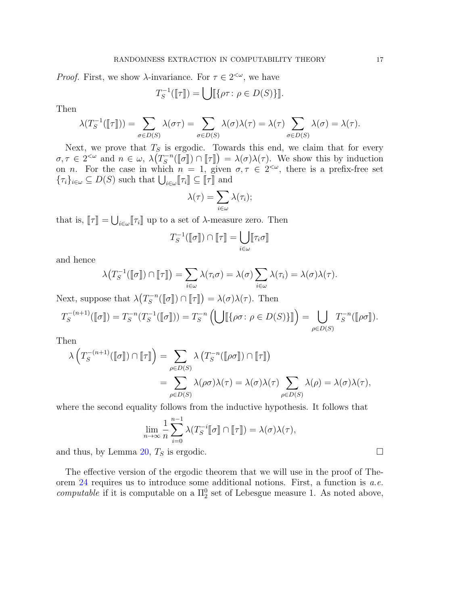*Proof.* First, we show  $\lambda$ -invariance. For  $\tau \in 2^{<\omega}$ , we have

$$
T_S^{-1}(\llbracket \tau \rrbracket) = \bigcup \llbracket \{\rho \tau : \rho \in D(S) \} \rrbracket.
$$

Then

$$
\lambda(T_S^{-1}(\llbracket \tau \rrbracket)) = \sum_{\sigma \in D(S)} \lambda(\sigma \tau) = \sum_{\sigma \in D(S)} \lambda(\sigma) \lambda(\tau) = \lambda(\tau) \sum_{\sigma \in D(S)} \lambda(\sigma) = \lambda(\tau).
$$

Next, we prove that  $T<sub>S</sub>$  is ergodic. Towards this end, we claim that for every  $\sigma, \tau \in 2^{<\omega}$  and  $n \in \omega, \ \lambda(T_S^{-n})$  $\chi_S^{-n}(\llbracket \sigma \rrbracket) \cap \llbracket \tau \rrbracket) = \lambda(\sigma) \lambda(\tau)$ . We show this by induction is a profix free set on *n*. For the case in which  $n = 1$ , given  $\sigma, \tau \in 2^{<\omega}$ , there is a prefix-free set  $\{\tau_i\}_{i\in\omega}\subseteq D(S)$  such that  $\bigcup_{i\in\omega}[\![\tau_i]\!]\subseteq[\![\tau]\!]$  and

$$
\lambda(\tau)=\sum_{i\in\omega}\lambda(\tau_i);
$$

that is,  $[\![\tau]\!] = \bigcup_{i \in \omega} [\![\tau_i]\!]$  up to a set of  $\lambda$ -measure zero. Then

$$
T_S^{-1}(\llbracket \sigma \rrbracket) \cap \llbracket \tau \rrbracket = \bigcup_{i \in \omega} \llbracket \tau_i \sigma \rrbracket
$$

and hence

$$
\lambda\big(T_S^{-1}(\llbracket \sigma \rrbracket) \cap \llbracket \tau \rrbracket\big) = \sum_{i \in \omega} \lambda(\tau_i \sigma) = \lambda(\sigma) \sum_{i \in \omega} \lambda(\tau_i) = \lambda(\sigma) \lambda(\tau).
$$

Next, suppose that  $\lambda(T_s^{-n})$  $\mathcal{L}_S^{-n}(\llbracket \sigma \rrbracket) \cap \llbracket \tau \rrbracket) = \lambda(\sigma) \lambda(\tau).$  Then

$$
T_S^{-(n+1)}(\llbracket \sigma \rrbracket) = T_S^{-n}(T_S^{-1}(\llbracket \sigma \rrbracket)) = T_S^{-n}\left(\bigcup \llbracket \{\rho \sigma \colon \rho \in D(S)\} \rrbracket\right) = \bigcup_{\rho \in D(S)} T_S^{-n}(\llbracket \rho \sigma \rrbracket).
$$

Then

$$
\lambda \left( T_S^{-(n+1)}([\![\sigma]\!]) \cap [\![\tau]\!] \right) = \sum_{\rho \in D(S)} \lambda \left( T_S^{-n}([\![\rho \sigma]\!]) \cap [\![\tau]\!] \right)
$$
  
= 
$$
\sum_{\rho \in D(S)} \lambda(\rho \sigma) \lambda(\tau) = \lambda(\sigma) \lambda(\tau) \sum_{\rho \in D(S)} \lambda(\rho) = \lambda(\sigma) \lambda(\tau),
$$

where the second equality follows from the inductive hypothesis. It follows that

$$
\lim_{n \to \infty} \frac{1}{n} \sum_{i=0}^{n-1} \lambda(T_S^{-i} \llbracket \sigma \rrbracket \cap \llbracket \tau \rrbracket) = \lambda(\sigma) \lambda(\tau),
$$

and thus, by Lemma [20,](#page-11-1)  $T_S$  is ergodic.

The effective version of the ergodic theorem that we will use in the proof of Theorem [24](#page-15-0) requires us to introduce some additional notions. First, a function is a.e. computable if it is computable on a  $\Pi_2^0$  set of Lebesgue measure 1. As noted above,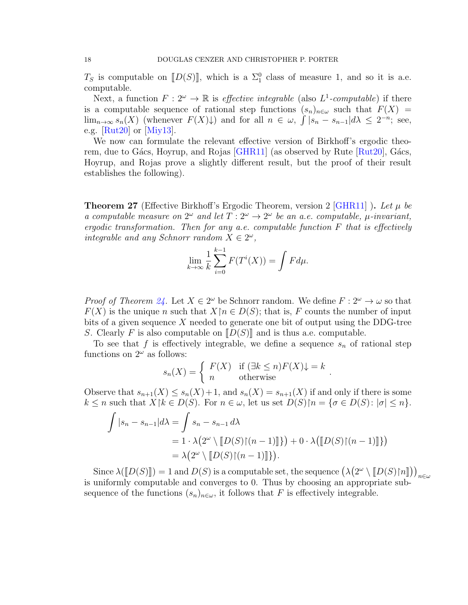<span id="page-17-1"></span> $T_S$  is computable on  $[D(S)]$ , which is a  $\Sigma_1^0$  class of measure 1, and so it is a.e.<br>computable computable.

Next, a function  $F: 2^{\omega} \to \mathbb{R}$  is *effective integrable* (also  $L^1$ -computable) if there is a computable sequence of rational step functions  $(s_n)_{n\in\omega}$  such that  $F(X)$  =  $\lim_{n\to\infty} s_n(X)$  (whenever  $F(X)\downarrow$ ) and for all  $n \in \omega$ ,  $\int |s_n - s_{n-1}| d\lambda \leq 2^{-n}$ ; see, e.g.  $\left[\text{Rut20}\right]$  or  $\left[\text{Miy13}\right]$ .

We now can formulate the relevant effective version of Birkhoff's ergodic theorem, due to Gács, Hoyrup, and Rojas  $[GHR11]$  (as observed by Rute  $[Rut20]$ , Gács, Hoyrup, and Rojas prove a slightly different result, but the proof of their result establishes the following).

<span id="page-17-0"></span>**Theorem 27** (Effective Birkhoff's Ergodic Theorem, version 2 [\[GHR11\]](#page-24-12)). Let  $\mu$  be a computable measure on  $2^{\omega}$  and let  $T: 2^{\omega} \to 2^{\omega}$  be an a.e. computable,  $\mu$ -invariant, ergodic transformation. Then for any a.e. computable function  $F$  that is effectively integrable and any Schnorr random  $X \in 2^{\omega}$ ,

$$
\lim_{k \to \infty} \frac{1}{k} \sum_{i=0}^{k-1} F(T^i(X)) = \int F d\mu.
$$

*Proof of Theorem [24.](#page-15-0)* Let  $X \in 2^{\omega}$  be Schnorr random. We define  $F : 2^{\omega} \to \omega$  so that  $F(X)$  is the unique n such that  $X\upharpoonright n\in D(S)$ ; that is, F counts the number of input bits of a given sequence X needed to generate one bit of output using the DDG-tree S. Clearly F is also computable on  $D(S)$  and is thus a.e. computable.

To see that f is effectively integrable, we define a sequence  $s_n$  of rational step functions on  $2^{\omega}$  as follows:

$$
s_n(X) = \begin{cases} F(X) & \text{if } (\exists k \le n) F(X) \downarrow = k \\ n & \text{otherwise} \end{cases}.
$$

Observe that  $s_{n+1}(X) \leq s_n(X) + 1$ , and  $s_n(X) = s_{n+1}(X)$  if and only if there is some  $k \leq n$  such that  $X[k \in D(S)]$ . For  $n \in \omega$ , let us set  $D(S)[n = {\sigma \in D(S) : |\sigma| \leq n}$ .

$$
\int |s_n - s_{n-1}| d\lambda = \int s_n - s_{n-1} d\lambda
$$
  
=  $1 \cdot \lambda (2^{\omega} \setminus [D(S)](n-1)]$  ) +  $0 \cdot \lambda ([D(S)](n-1)]$  )  
=  $\lambda (2^{\omega} \setminus [D(S)](n-1)]$  ).

Since  $\lambda(\llbracket D(S) \rrbracket) = 1$  and  $D(S)$  is a computable set, the sequence  $(\lambda(2^{\omega} \setminus \llbracket D(S) \rrbracket n \rrbracket))_{n \in \omega}$ is uniformly computable and converges to 0. Thus by choosing an appropriate subsequence of the functions  $(s_n)_{n\in\omega}$ , it follows that F is effectively integrable.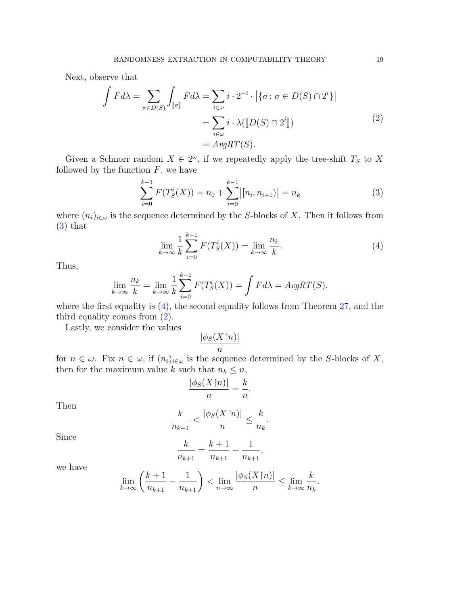Next, observe that

$$
\int F d\lambda = \sum_{\sigma \in D(S)} \int_{[\![\sigma]\!]} F d\lambda = \sum_{i \in \omega} i \cdot 2^{-i} \cdot \left| \{ \sigma : \sigma \in D(S) \cap 2^{i} \} \right|
$$

$$
= \sum_{i \in \omega} i \cdot \lambda([\![D(S) \cap 2^{i}]\!])
$$

$$
= AvgRT(S).
$$
 (2)

Given a Schnorr random  $X \in 2^{\omega}$ , if we repeatedly apply the tree-shift  $T_S$  to X followed by the function  $F$ , we have

<span id="page-18-2"></span><span id="page-18-0"></span>
$$
\sum_{i=0}^{k-1} F(T_S^i(X)) = n_0 + \sum_{i=0}^{k-1} |[n_i, n_{i+1})| = n_k
$$
\n(3)

where  $(n_i)_{i\in\omega}$  is the sequence determined by the S-blocks of X. Then it follows from [\(3\)](#page-18-0) that

<span id="page-18-1"></span>
$$
\lim_{k \to \infty} \frac{1}{k} \sum_{i=0}^{k-1} F(T_S^i(X)) = \lim_{k \to \infty} \frac{n_k}{k}.
$$
\n(4)

Thus,

$$
\lim_{k \to \infty} \frac{n_k}{k} = \lim_{k \to \infty} \frac{1}{k} \sum_{i=0}^{k-1} F(T_S^i(X)) = \int F d\lambda = AvgRT(S),
$$

where the first equality is  $(4)$ , the second equality follows from Theorem [27,](#page-17-0) and the third equality comes from [\(2\)](#page-18-2).

Lastly, we consider the values

$$
\frac{|\phi_S(X\mathord{\restriction} n)|}{n}
$$

for  $n \in \omega$ . Fix  $n \in \omega$ , if  $(n_i)_{i \in \omega}$  is the sequence determined by the S-blocks of X, then for the maximum value k such that  $n_k \leq n$ ,

$$
\frac{|\phi_S(X\mathord{\restriction} n)|}{n} = \frac{k}{n}.
$$

Then

$$
\frac{k}{n_{k+1}}<\frac{|\phi_S(X\mathord{\restriction} n)|}{n}\leq \frac{k}{n_k}.
$$

Since

$$
\frac{k}{n_{k+1}}=\frac{k+1}{n_{k+1}}-\frac{1}{n_{k+1}},
$$

we have

$$
\lim_{k \to \infty} \left( \frac{k+1}{n_{k+1}} - \frac{1}{n_{k+1}} \right) < \lim_{n \to \infty} \frac{|\phi_S(X \mathord{\restriction} n)|}{n} \leq \lim_{k \to \infty} \frac{k}{n_k}.
$$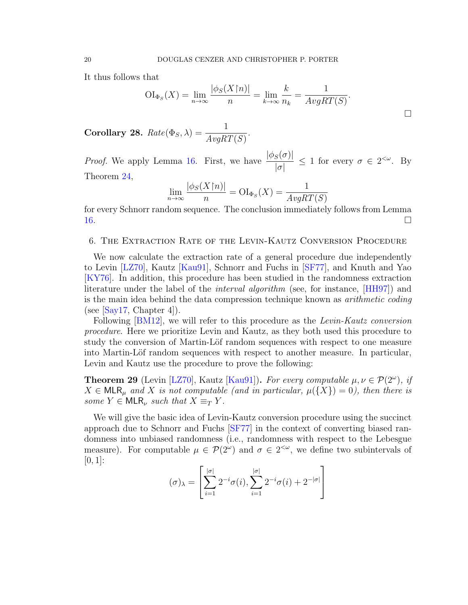<span id="page-19-2"></span>It thus follows that

$$
\mathrm{OI}_{\Phi_S}(X) = \lim_{n \to \infty} \frac{|\phi_S(X \restriction n)|}{n} = \lim_{k \to \infty} \frac{k}{n_k} = \frac{1}{AvgRT(S)}.
$$

Corollary 28.  $Rate(\Phi_S, \lambda) = \frac{1}{AvgRT(S)}$ .

*Proof.* We apply Lemma [16.](#page-8-0) First, we have  $\frac{|\phi_S(\sigma)|}{\sigma}$  $|\sigma|$  $\leq 1$  for every  $\sigma \in 2^{<\omega}$ . By Theorem [24,](#page-15-0)

$$
\lim_{n \to \infty} \frac{|\phi_S(X \cap n)|}{n} = \text{OI}_{\Phi_S}(X) = \frac{1}{AvgRT(S)}
$$

for every Schnorr random sequence. The conclusion immediately follows from Lemma [16.](#page-8-0)

### <span id="page-19-0"></span>6. The Extraction Rate of the Levin-Kautz Conversion Procedure

We now calculate the extraction rate of a general procedure due independently to Levin [\[LZ70\]](#page-24-2), Kautz [\[Kau91\]](#page-24-3), Schnorr and Fuchs in [\[SF77\]](#page-25-8), and Knuth and Yao [\[KY76\]](#page-24-1). In addition, this procedure has been studied in the randomness extraction literature under the label of the *interval algorithm* (see, for instance, [\[HH97\]](#page-24-13)) and is the main idea behind the data compression technique known as *arithmetic coding* (see  $[Say17, Chapter 4]$  $[Say17, Chapter 4]$ ).

Following [\[BM12\]](#page-24-14), we will refer to this procedure as the Levin-Kautz conversion procedure. Here we prioritize Levin and Kautz, as they both used this procedure to study the conversion of Martin-Löf random sequences with respect to one measure into Martin-Löf random sequences with respect to another measure. In particular, Levin and Kautz use the procedure to prove the following:

<span id="page-19-1"></span>**Theorem 29** (Levin [\[LZ70\]](#page-24-2), Kautz [\[Kau91\]](#page-24-3)). For every computable  $\mu, \nu \in \mathcal{P}(2^{\omega})$ , if  $X \in \mathsf{MLR}_{\mu}$  and X is not computable (and in particular,  $\mu({X}) = 0$ ), then there is some  $Y \in \mathsf{MLR}_{\nu}$  such that  $X \equiv_T Y$ .

We will give the basic idea of Levin-Kautz conversion procedure using the succinct approach due to Schnorr and Fuchs [\[SF77\]](#page-25-8) in the context of converting biased randomness into unbiased randomness (i.e., randomness with respect to the Lebesgue measure). For computable  $\mu \in \mathcal{P}(2^{\omega})$  and  $\sigma \in 2^{<\omega}$ , we define two subintervals of  $[0, 1]$ :

$$
(\sigma)_{\lambda} = \left[ \sum_{i=1}^{|\sigma|} 2^{-i} \sigma(i), \sum_{i=1}^{|\sigma|} 2^{-i} \sigma(i) + 2^{-|\sigma|} \right]
$$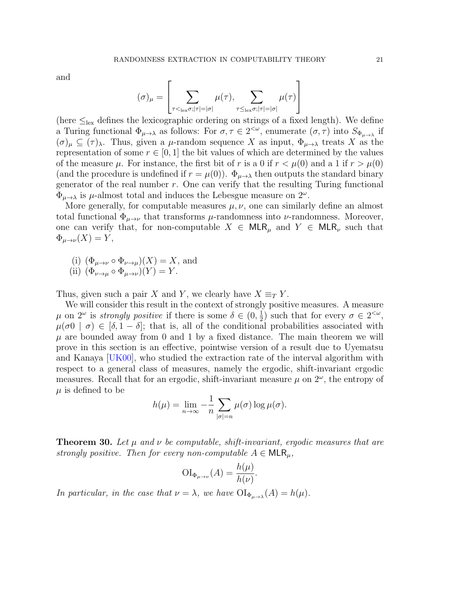<span id="page-20-1"></span>and

$$
(\sigma)_{\mu} = \left[ \sum_{\tau \leq_{\text{lex}} \sigma; |\tau| = |\sigma|} \mu(\tau), \sum_{\tau \leq_{\text{lex}} \sigma; |\tau| = |\sigma|} \mu(\tau) \right]
$$

(here  $\leq_{\text{lex}}$  defines the lexicographic ordering on strings of a fixed length). We define a Turing functional  $\Phi_{\mu\to\lambda}$  as follows: For  $\sigma,\tau\in 2^{<\omega}$ , enumerate  $(\sigma,\tau)$  into  $S_{\Phi_{\mu\to\lambda}}$  if  $(\sigma)_{\mu} \subseteq (\tau)_{\lambda}$ . Thus, given a  $\mu$ -random sequence X as input,  $\Phi_{\mu\to\lambda}$  treats X as the representation of some  $r \in [0, 1]$  the bit values of which are determined by the values of the measure  $\mu$ . For instance, the first bit of r is a 0 if  $r < \mu(0)$  and a 1 if  $r > \mu(0)$ (and the procedure is undefined if  $r = \mu(0)$ ).  $\Phi_{\mu \to \lambda}$  then outputs the standard binary generator of the real number  $r$ . One can verify that the resulting Turing functional  $\Phi_{\mu\to\lambda}$  is  $\mu$ -almost total and induces the Lebesgue measure on  $2^{\omega}$ .

More generally, for computable measures  $\mu, \nu$ , one can similarly define an almost total functional  $\Phi_{\mu\to\nu}$  that transforms  $\mu$ -randomness into  $\nu$ -randomness. Moreover, one can verify that, for non-computable  $X \in \mathsf{MLR}_{\mu}$  and  $Y \in \mathsf{MLR}_{\nu}$  such that  $\Phi_{\mu\to\nu}(X)=Y,$ 

- (i)  $(\Phi_{\mu\to\nu} \circ \Phi_{\nu\to\mu})(X) = X$ , and
- (ii)  $(\Phi_{\nu \to \mu} \circ \Phi_{\mu \to \nu})(Y) = Y$ .

Thus, given such a pair X and Y, we clearly have  $X \equiv_T Y$ .

We will consider this result in the context of strongly positive measures. A measure  $\mu$  on  $2^{\omega}$  is *strongly positive* if there is some  $\delta \in (0, \frac{1}{2})$  $(\frac{1}{2})$  such that for every  $\sigma \in 2^{<\omega}$ ,  $\mu(\sigma) \mid \sigma$   $\in [\delta, 1-\delta]$ ; that is, all of the conditional probabilities associated with  $\mu$  are bounded away from 0 and 1 by a fixed distance. The main theorem we will prove in this section is an effective, pointwise version of a result due to Uyematsu and Kanaya [\[UK00\]](#page-25-10), who studied the extraction rate of the interval algorithm with respect to a general class of measures, namely the ergodic, shift-invariant ergodic measures. Recall that for an ergodic, shift-invariant measure  $\mu$  on  $2^{\omega}$ , the entropy of  $\mu$  is defined to be

$$
h(\mu) = \lim_{n \to \infty} -\frac{1}{n} \sum_{|\sigma|=n} \mu(\sigma) \log \mu(\sigma).
$$

<span id="page-20-0"></span>**Theorem 30.** Let  $\mu$  and  $\nu$  be computable, shift-invariant, ergodic measures that are strongly positive. Then for every non-computable  $A \in \mathsf{MLR}_{\mu}$ ,

$$
\mathrm{OI}_{\Phi_{\mu\to\nu}}(A) = \frac{h(\mu)}{h(\nu)}.
$$

In particular, in the case that  $\nu = \lambda$ , we have  $\text{OI}_{\Phi_{\mu \to \lambda}}(A) = h(\mu)$ .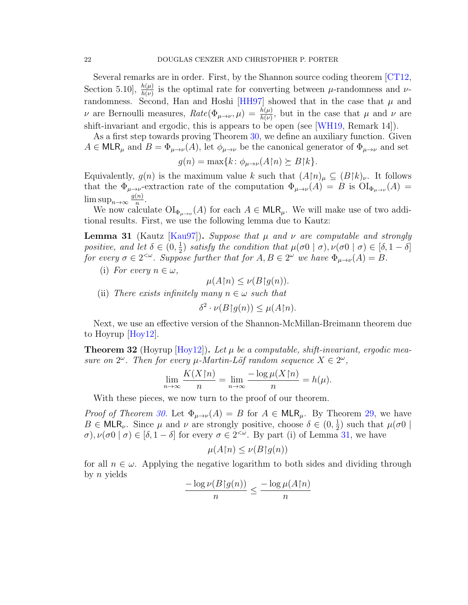<span id="page-21-2"></span>Several remarks are in order. First, by the Shannon source coding theorem [\[CT12,](#page-24-15) Section 5.10],  $\frac{h(\mu)}{h(\nu)}$  is the optimal rate for converting between  $\mu$ -randomness and  $\nu$ -randomness. Second, Han and Hoshi [\[HH97\]](#page-24-13) showed that in the case that  $\mu$  and *ν* are Bernoulli measures,  $Rate(\Phi_{\mu\to\nu}, \mu) = \frac{h(\mu)}{h(\nu)}$ , but in the case that *μ* and *ν* are shift-invariant and ergodic, this is appears to be open (see [\[WH19,](#page-25-11) Remark 14]).

As a first step towards proving Theorem [30,](#page-20-0) we define an auxiliary function. Given  $A \in \mathsf{MLR}_{\mu}$  and  $B = \Phi_{\mu \to \nu}(A)$ , let  $\phi_{\mu \to \nu}$  be the canonical generator of  $\Phi_{\mu \to \nu}$  and set

$$
g(n) = \max\{k \colon \phi_{\mu \to \nu}(A \upharpoonright n) \succeq B \upharpoonright k\}.
$$

Equivalently,  $g(n)$  is the maximum value k such that  $(A\upharpoonright n)_{\mu} \subseteq (B\upharpoonright k)_{\nu}$ . It follows that the  $\Phi_{\mu\to\nu}$ -extraction rate of the computation  $\Phi_{\mu\to\nu}(A) = B$  is  $\text{OI}_{\Phi_{\mu\to\nu}}(A) =$  $\limsup_{n\to\infty}\frac{g(n)}{n}$  $\frac{(n)}{n}$ .

We now calculate  $\mathrm{OI}_{\Phi_{\mu\to\nu}}(A)$  for each  $A \in \mathsf{MLR}_{\mu}$ . We will make use of two additional results. First, we use the following lemma due to Kautz:

<span id="page-21-0"></span>**Lemma 31** (Kautz [\[Kau97\]](#page-24-16)). Suppose that  $\mu$  and  $\nu$  are computable and strongly positive, and let  $\delta \in (0, \frac{1}{2})$  $\frac{1}{2}$ ) satisfy the condition that  $\mu(\sigma 0 | \sigma)$ ,  $\nu(\sigma 0 | \sigma) \in [\delta, 1 - \delta]$ for every  $\sigma \in 2^{<\omega}$ . Suppose further that for  $A, B \in 2^{\omega}$  we have  $\Phi_{\mu\to\nu}(A) = B$ .

(i) For every  $n \in \omega$ ,

$$
\mu(A\mathord{\upharpoonright} n) \le \nu(B\mathord{\upharpoonright} g(n)).
$$

(ii) There exists infinitely many  $n \in \omega$  such that

 $\delta^2 \cdot \nu(B\upharpoonright g(n)) \leq \mu(A\upharpoonright n).$ 

Next, we use an effective version of the Shannon-McMillan-Breimann theorem due to Hoyrup [\[Hoy12\]](#page-24-4).

<span id="page-21-1"></span>**Theorem 32** (Hoyrup [\[Hoy12\]](#page-24-4)). Let  $\mu$  be a computable, shift-invariant, ergodic measure on  $2^{\omega}$ . Then for every  $\mu$ -Martin-Löf random sequence  $X \in 2^{\omega}$ ,

$$
\lim_{n \to \infty} \frac{K(X \restriction n)}{n} = \lim_{n \to \infty} \frac{-\log \mu(X \restriction n)}{n} = h(\mu).
$$

With these pieces, we now turn to the proof of our theorem.

*Proof of Theorem [30.](#page-20-0)* Let  $\Phi_{\mu\to\nu}(A) = B$  for  $A \in \mathsf{MLR}_{\mu}$ . By Theorem [29,](#page-19-1) we have  $B \in \mathsf{MLR}_{\nu}$ . Since  $\mu$  and  $\nu$  are strongly positive, choose  $\delta \in (0, \frac{1}{2})$  $(\frac{1}{2})$  such that  $\mu(\sigma 0)$  $\sigma$ ),  $\nu(\sigma 0 | \sigma) \in [\delta, 1-\delta]$  for every  $\sigma \in 2^{<\omega}$ . By part (i) of Lemma [31,](#page-21-0) we have

$$
\mu(A\mathord{\upharpoonright} n)\leq \nu(B\mathord{\upharpoonright} g(n))
$$

for all  $n \in \omega$ . Applying the negative logarithm to both sides and dividing through by  $n$  yields

$$
\frac{-\log \nu(B\mathord\restriction g(n))}{n}\leq \frac{-\log \mu(A\mathord\restriction n)}{n}
$$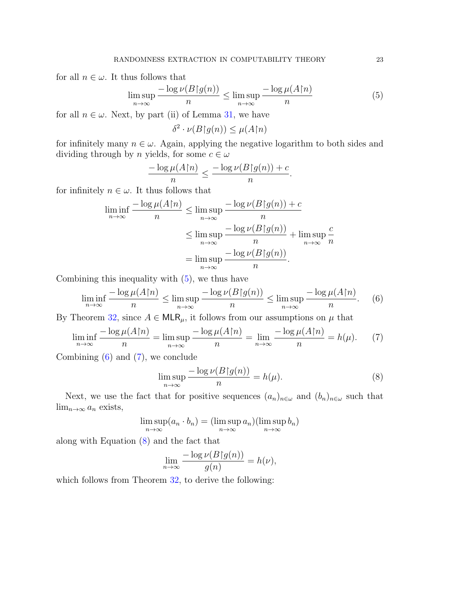for all  $n \in \omega$ . It thus follows that

<span id="page-22-0"></span>
$$
\limsup_{n \to \infty} \frac{-\log \nu(B \upharpoonright g(n))}{n} \le \limsup_{n \to \infty} \frac{-\log \mu(A \upharpoonright n)}{n} \tag{5}
$$

.

for all  $n \in \omega$ . Next, by part (ii) of Lemma [31,](#page-21-0) we have

 $\delta^2 \cdot \nu(B\upharpoonright g(n)) \leq \mu(A\upharpoonright n)$ 

for infinitely many  $n \in \omega$ . Again, applying the negative logarithm to both sides and dividing through by *n* yields, for some  $c \in \omega$ 

$$
\frac{-\log \mu(A\mathord{\upharpoonright} n)}{n} \le \frac{-\log \nu(B\mathord{\upharpoonright} g(n)) + c}{n}
$$

for infinitely  $n \in \omega$ . It thus follows that

$$
\liminf_{n \to \infty} \frac{-\log \mu(A \cap n)}{n} \le \limsup_{n \to \infty} \frac{-\log \nu(B \cap (n)) + c}{n}
$$

$$
\le \limsup_{n \to \infty} \frac{-\log \nu(B \cap (n))}{n} + \limsup_{n \to \infty} \frac{c}{n}
$$

$$
= \limsup_{n \to \infty} \frac{-\log \nu(B \cap (n))}{n}.
$$

Combining this inequality with [\(5\)](#page-22-0), we thus have

<span id="page-22-1"></span>
$$
\liminf_{n \to \infty} \frac{-\log \mu(A \upharpoonright n)}{n} \le \limsup_{n \to \infty} \frac{-\log \nu(B \upharpoonright g(n))}{n} \le \limsup_{n \to \infty} \frac{-\log \mu(A \upharpoonright n)}{n}.
$$
 (6)

By Theorem [32,](#page-21-1) since  $A \in \mathsf{MLR}_{\mu}$ , it follows from our assumptions on  $\mu$  that

<span id="page-22-2"></span>
$$
\liminf_{n \to \infty} \frac{-\log \mu(A \upharpoonright n)}{n} = \limsup_{n \to \infty} \frac{-\log \mu(A \upharpoonright n)}{n} = \lim_{n \to \infty} \frac{-\log \mu(A \upharpoonright n)}{n} = h(\mu). \tag{7}
$$

Combining  $(6)$  and  $(7)$ , we conclude

<span id="page-22-3"></span>
$$
\limsup_{n \to \infty} \frac{-\log \nu(B\upharpoonright g(n))}{n} = h(\mu). \tag{8}
$$

Next, we use the fact that for positive sequences  $(a_n)_{n\in\omega}$  and  $(b_n)_{n\in\omega}$  such that  $\lim_{n\to\infty} a_n$  exists,

$$
\limsup_{n \to \infty} (a_n \cdot b_n) = (\limsup_{n \to \infty} a_n)(\limsup_{n \to \infty} b_n)
$$

along with Equation [\(8\)](#page-22-3) and the fact that

$$
\lim_{n \to \infty} \frac{-\log \nu(B \upharpoonright g(n))}{g(n)} = h(\nu),
$$

which follows from Theorem [32,](#page-21-1) to derive the following: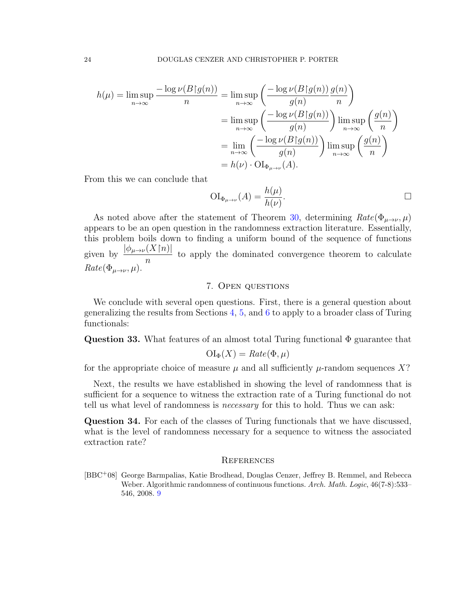$$
h(\mu) = \limsup_{n \to \infty} \frac{-\log \nu(B|g(n))}{n} = \limsup_{n \to \infty} \left( \frac{-\log \nu(B|g(n))}{g(n)} \frac{g(n)}{n} \right)
$$
  
= 
$$
\limsup_{n \to \infty} \left( \frac{-\log \nu(B|g(n))}{g(n)} \right) \limsup_{n \to \infty} \left( \frac{g(n)}{n} \right)
$$
  
= 
$$
\lim_{n \to \infty} \left( \frac{-\log \nu(B|g(n))}{g(n)} \right) \limsup_{n \to \infty} \left( \frac{g(n)}{n} \right)
$$
  
= 
$$
h(\nu) \cdot \text{OI}_{\Phi_{\mu \to \nu}}(A).
$$

From this we can conclude that

$$
\mathrm{OI}_{\Phi_{\mu \to \nu}}(A) = \frac{h(\mu)}{h(\nu)}.
$$

As noted above after the statement of Theorem [30,](#page-20-0) determining  $Rate(\Phi_{\mu\rightarrow\nu},\mu)$ appears to be an open question in the randomness extraction literature. Essentially, this problem boils down to finding a uniform bound of the sequence of functions given by  $\frac{|\phi_{\mu\to\nu}(X\cap n)|}{\phi_{\mu\to\nu}(X\cap n)}$ n to apply the dominated convergence theorem to calculate  $Rate(\Phi_{\mu\rightarrow\nu},\mu).$ 

### 7. Open questions

<span id="page-23-0"></span>We conclude with several open questions. First, there is a general question about generalizing the results from Sections [4,](#page-9-0) [5,](#page-13-0) and [6](#page-19-0) to apply to a broader class of Turing functionals:

Question 33. What features of an almost total Turing functional  $\Phi$  guarantee that

$$
\mathrm{OI}_{\Phi}(X) = \mathit{Rate}(\Phi, \mu)
$$

for the appropriate choice of measure  $\mu$  and all sufficiently  $\mu$ -random sequences X?

Next, the results we have established in showing the level of randomness that is sufficient for a sequence to witness the extraction rate of a Turing functional do not tell us what level of randomness is *necessary* for this to hold. Thus we can ask:

Question 34. For each of the classes of Turing functionals that we have discussed, what is the level of randomness necessary for a sequence to witness the associated extraction rate?

#### **REFERENCES**

<span id="page-23-1"></span>[BBC<sup>+</sup>08] George Barmpalias, Katie Brodhead, Douglas Cenzer, Jeffrey B. Remmel, and Rebecca Weber. Algorithmic randomness of continuous functions. Arch. Math. Logic, 46(7-8):533– 546, 2008. [9](#page-8-1)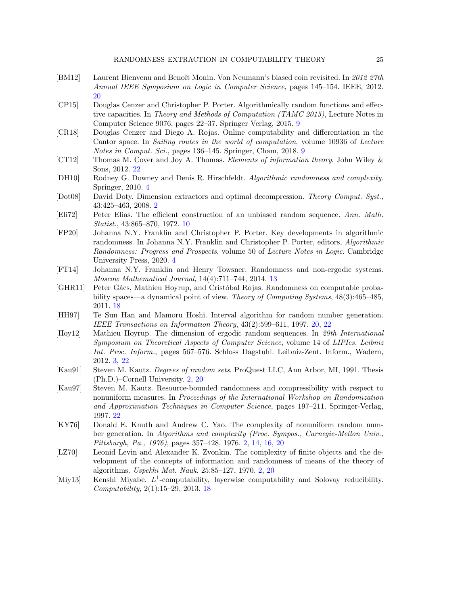- <span id="page-24-14"></span>[BM12] Laurent Bienvenu and Benoît Monin. Von Neumann's biased coin revisited. In 2012 27th Annual IEEE Symposium on Logic in Computer Science, pages 145–154. IEEE, 2012. [20](#page-19-2)
- <span id="page-24-8"></span>[CP15] Douglas Cenzer and Christopher P. Porter. Algorithmically random functions and effective capacities. In Theory and Methods of Computation (TAMC 2015), Lecture Notes in Computer Science 9076, pages 22–37. Springer Verlag, 2015. [9](#page-8-1)
- <span id="page-24-7"></span>[CR18] Douglas Cenzer and Diego A. Rojas. Online computability and differentiation in the Cantor space. In Sailing routes in the world of computation, volume 10936 of Lecture Notes in Comput. Sci., pages 136–145. Springer, Cham, 2018. [9](#page-8-1)
- <span id="page-24-15"></span>[CT12] Thomas M. Cover and Joy A. Thomas. Elements of information theory. John Wiley & Sons, 2012. [22](#page-21-2)
- <span id="page-24-5"></span>[DH10] Rodney G. Downey and Denis R. Hirschfeldt. Algorithmic randomness and complexity. Springer, 2010. [4](#page-3-0)
- <span id="page-24-0"></span>[Dot08] David Doty. Dimension extractors and optimal decompression. Theory Comput. Syst., 43:425–463, 2008. [2](#page-1-0)
- <span id="page-24-9"></span>[Eli72] Peter Elias. The efficient construction of an unbiased random sequence. Ann. Math. Statist., 43:865–870, 1972. [10](#page-9-1)
- <span id="page-24-6"></span>[FP20] Johanna N.Y. Franklin and Christopher P. Porter. Key developments in algorithmic randomness. In Johanna N.Y. Franklin and Christopher P. Porter, editors, Algorithmic Randomness: Progress and Prospects, volume 50 of Lecture Notes in Logic. Cambridge University Press, 2020. [4](#page-3-0)
- <span id="page-24-10"></span>[FT14] Johanna N.Y. Franklin and Henry Towsner. Randomness and non-ergodic systems. Moscow Mathematical Journal, 14(4):711–744, 2014. [13](#page-12-2)
- <span id="page-24-12"></span>[GHR11] Peter G´acs, Mathieu Hoyrup, and Crist´obal Rojas. Randomness on computable probability spaces—a dynamical point of view. Theory of Computing Systems, 48(3):465–485, 2011. [18](#page-17-1)
- <span id="page-24-13"></span>[HH97] Te Sun Han and Mamoru Hoshi. Interval algorithm for random number generation. IEEE Transactions on Information Theory, 43(2):599–611, 1997. [20,](#page-19-2) [22](#page-21-2)
- <span id="page-24-4"></span>[Hoy12] Mathieu Hoyrup. The dimension of ergodic random sequences. In 29th International Symposium on Theoretical Aspects of Computer Science, volume 14 of LIPIcs. Leibniz Int. Proc. Inform., pages 567–576. Schloss Dagstuhl. Leibniz-Zent. Inform., Wadern, 2012. [3,](#page-2-1) [22](#page-21-2)
- <span id="page-24-3"></span>[Kau91] Steven M. Kautz. Degrees of random sets. ProQuest LLC, Ann Arbor, MI, 1991. Thesis (Ph.D.)–Cornell University. [2,](#page-1-0) [20](#page-19-2)
- <span id="page-24-16"></span>[Kau97] Steven M. Kautz. Resource-bounded randomness and compressibility with respect to nonuniform measures. In Proceedings of the International Workshop on Randomization and Approximation Techniques in Computer Science, pages 197–211. Springer-Verlag, 1997. [22](#page-21-2)
- <span id="page-24-1"></span>[KY76] Donald E. Knuth and Andrew C. Yao. The complexity of nonuniform random number generation. In Algorithms and complexity (Proc. Sympos., Carnegie-Mellon Univ., Pittsburgh, Pa., 1976), pages 357–428, 1976. [2,](#page-1-0) [14,](#page-13-1) [16,](#page-15-1) [20](#page-19-2)
- <span id="page-24-2"></span>[LZ70] Leonid Levin and Alexander K. Zvonkin. The complexity of finite objects and the development of the concepts of information and randomness of means of the theory of algorithms. Uspekhi Mat. Nauk, 25:85–127, 1970. [2,](#page-1-0) [20](#page-19-2)
- <span id="page-24-11"></span>[Miy13] Kenshi Miyabe.  $L^1$ -computability, layerwise computability and Solovay reducibility. Computability, 2(1):15–29, 2013. [18](#page-17-1)